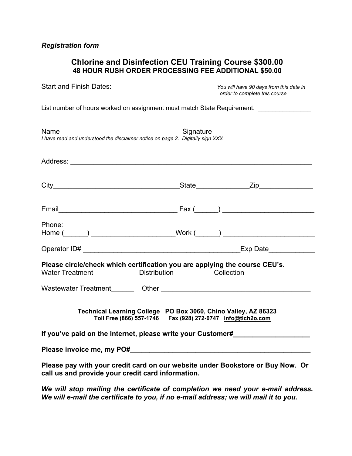### *Registration form*

### **Chlorine and Disinfection CEU Training Course \$300.00 48 HOUR RUSH ORDER PROCESSING FEE ADDITIONAL \$50.00**

|                                                                                                                                                             | You will have 90 days from this date in<br>order to complete this course |  |  |
|-------------------------------------------------------------------------------------------------------------------------------------------------------------|--------------------------------------------------------------------------|--|--|
| List number of hours worked on assignment must match State Requirement. ______________                                                                      |                                                                          |  |  |
| Name<br>I have read and understood the disclaimer notice on page 2. Digitally sign XXX                                                                      |                                                                          |  |  |
|                                                                                                                                                             |                                                                          |  |  |
|                                                                                                                                                             |                                                                          |  |  |
|                                                                                                                                                             |                                                                          |  |  |
| Phone:<br>Home (______) _________________________Work (______) ___________________________                                                                  |                                                                          |  |  |
|                                                                                                                                                             |                                                                          |  |  |
| Please circle/check which certification you are applying the course CEU's.<br>Water Treatment ______________ Distribution ___________ Collection __________ |                                                                          |  |  |
|                                                                                                                                                             |                                                                          |  |  |
| Technical Learning College PO Box 3060, Chino Valley, AZ 86323                                                                                              | Toll Free (866) 557-1746    Fax (928) 272-0747    info@tlch2o.com        |  |  |
| If you've paid on the Internet, please write your Customer#                                                                                                 |                                                                          |  |  |
|                                                                                                                                                             |                                                                          |  |  |
| Please pay with your credit card on our website under Bookstore or Buy Now. Or<br>call us and provide your credit card information.                         |                                                                          |  |  |

*We will stop mailing the certificate of completion we need your e-mail address. We will e-mail the certificate to you, if no e-mail address; we will mail it to you.*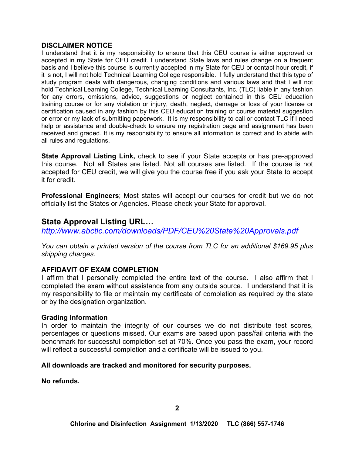#### **DISCLAIMER NOTICE**

I understand that it is my responsibility to ensure that this CEU course is either approved or accepted in my State for CEU credit. I understand State laws and rules change on a frequent basis and I believe this course is currently accepted in my State for CEU or contact hour credit, if it is not, I will not hold Technical Learning College responsible. I fully understand that this type of study program deals with dangerous, changing conditions and various laws and that I will not hold Technical Learning College, Technical Learning Consultants, Inc. (TLC) liable in any fashion for any errors, omissions, advice, suggestions or neglect contained in this CEU education training course or for any violation or injury, death, neglect, damage or loss of your license or certification caused in any fashion by this CEU education training or course material suggestion or error or my lack of submitting paperwork. It is my responsibility to call or contact TLC if I need help or assistance and double-check to ensure my registration page and assignment has been received and graded. It is my responsibility to ensure all information is correct and to abide with all rules and regulations.

**State Approval Listing Link,** check to see if your State accepts or has pre-approved this course. Not all States are listed. Not all courses are listed. If the course is not accepted for CEU credit, we will give you the course free if you ask your State to accept it for credit.

**Professional Engineers**; Most states will accept our courses for credit but we do not officially list the States or Agencies. Please check your State for approval.

### **State Approval Listing URL…**

*<http://www.abctlc.com/downloads/PDF/CEU%20State%20Approvals.pdf>*

*You can obtain a printed version of the course from TLC for an additional \$169.95 plus shipping charges.* 

### **AFFIDAVIT OF EXAM COMPLETION**

I affirm that I personally completed the entire text of the course. I also affirm that I completed the exam without assistance from any outside source. I understand that it is my responsibility to file or maintain my certificate of completion as required by the state or by the designation organization.

#### **Grading Information**

In order to maintain the integrity of our courses we do not distribute test scores, percentages or questions missed. Our exams are based upon pass/fail criteria with the benchmark for successful completion set at 70%. Once you pass the exam, your record will reflect a successful completion and a certificate will be issued to you.

### **All downloads are tracked and monitored for security purposes.**

**No refunds.**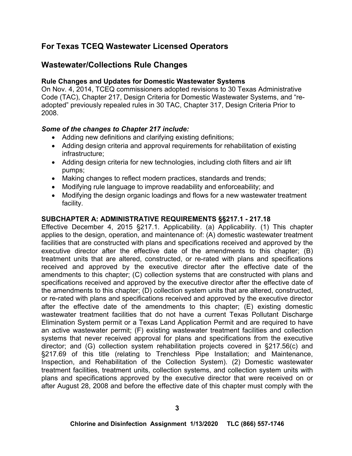# **For Texas TCEQ Wastewater Licensed Operators**

# **Wastewater/Collections Rule Changes**

### **Rule Changes and Updates for Domestic Wastewater Systems**

On Nov. 4, 2014, TCEQ commissioners adopted revisions to 30 Texas Administrative Code (TAC), Chapter 217, Design Criteria for Domestic Wastewater Systems, and "readopted" previously repealed rules in 30 TAC, Chapter 317, Design Criteria Prior to 2008.

### *Some of the changes to Chapter 217 include:*

- Adding new definitions and clarifying existing definitions;
- Adding design criteria and approval requirements for rehabilitation of existing infrastructure;
- Adding design criteria for new technologies, including cloth filters and air lift pumps;
- Making changes to reflect modern practices, standards and trends;
- Modifying rule language to improve readability and enforceability; and
- Modifying the design organic loadings and flows for a new wastewater treatment facility.

### **SUBCHAPTER A: ADMINISTRATIVE REQUIREMENTS §§217.1 - 217.18**

Effective December 4, 2015 §217.1. Applicability. (a) Applicability. (1) This chapter applies to the design, operation, and maintenance of: (A) domestic wastewater treatment facilities that are constructed with plans and specifications received and approved by the executive director after the effective date of the amendments to this chapter; (B) treatment units that are altered, constructed, or re-rated with plans and specifications received and approved by the executive director after the effective date of the amendments to this chapter; (C) collection systems that are constructed with plans and specifications received and approved by the executive director after the effective date of the amendments to this chapter; (D) collection system units that are altered, constructed, or re-rated with plans and specifications received and approved by the executive director after the effective date of the amendments to this chapter; (E) existing domestic wastewater treatment facilities that do not have a current Texas Pollutant Discharge Elimination System permit or a Texas Land Application Permit and are required to have an active wastewater permit; (F) existing wastewater treatment facilities and collection systems that never received approval for plans and specifications from the executive director; and (G) collection system rehabilitation projects covered in §217.56(c) and §217.69 of this title (relating to Trenchless Pipe Installation; and Maintenance, Inspection, and Rehabilitation of the Collection System). (2) Domestic wastewater treatment facilities, treatment units, collection systems, and collection system units with plans and specifications approved by the executive director that were received on or after August 28, 2008 and before the effective date of this chapter must comply with the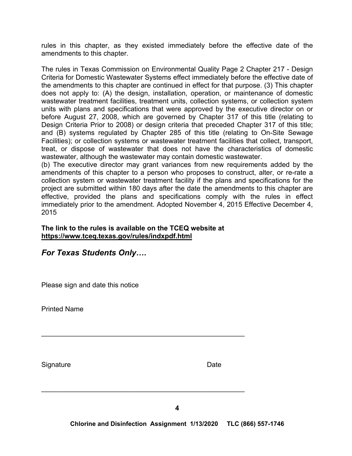rules in this chapter, as they existed immediately before the effective date of the amendments to this chapter.

The rules in Texas Commission on Environmental Quality Page 2 Chapter 217 - Design Criteria for Domestic Wastewater Systems effect immediately before the effective date of the amendments to this chapter are continued in effect for that purpose. (3) This chapter does not apply to: (A) the design, installation, operation, or maintenance of domestic wastewater treatment facilities, treatment units, collection systems, or collection system units with plans and specifications that were approved by the executive director on or before August 27, 2008, which are governed by Chapter 317 of this title (relating to Design Criteria Prior to 2008) or design criteria that preceded Chapter 317 of this title; and (B) systems regulated by Chapter 285 of this title (relating to On-Site Sewage Facilities); or collection systems or wastewater treatment facilities that collect, transport, treat, or dispose of wastewater that does not have the characteristics of domestic wastewater, although the wastewater may contain domestic wastewater.

(b) The executive director may grant variances from new requirements added by the amendments of this chapter to a person who proposes to construct, alter, or re-rate a collection system or wastewater treatment facility if the plans and specifications for the project are submitted within 180 days after the date the amendments to this chapter are effective, provided the plans and specifications comply with the rules in effect immediately prior to the amendment. Adopted November 4, 2015 Effective December 4, 2015

### **The link to the rules is available on the TCEQ website at <https://www.tceq.texas.gov/rules/indxpdf.html>**

 $\mathcal{L}_\text{max}$  , and the contract of the contract of the contract of the contract of the contract of the contract of the contract of the contract of the contract of the contract of the contract of the contract of the contr

\_\_\_\_\_\_\_\_\_\_\_\_\_\_\_\_\_\_\_\_\_\_\_\_\_\_\_\_\_\_\_\_\_\_\_\_\_\_\_\_\_\_\_\_\_\_\_\_\_\_\_\_\_

*For Texas Students Only….* 

Please sign and date this notice

Printed Name

Signature **Date**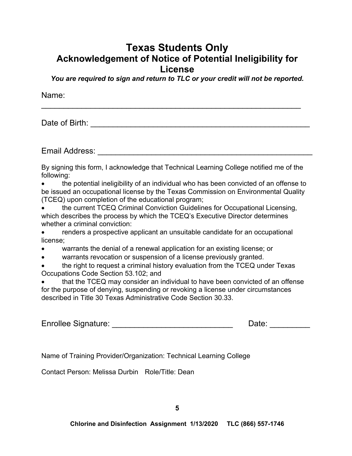# **Texas Students Only Acknowledgement of Notice of Potential Ineligibility for License**

*You are required to sign and return to TLC or your credit will not be reported.* 

 $\mathcal{L}_\text{max}$  , and the contract of the contract of the contract of the contract of the contract of the contract of the contract of the contract of the contract of the contract of the contract of the contract of the contr

Name:

Date of Birth: \_\_\_\_\_\_\_\_\_\_\_\_\_\_\_\_\_\_\_\_\_\_\_\_\_\_\_\_\_\_\_\_\_\_\_\_\_\_\_\_\_\_\_\_\_\_\_\_\_

Email Address: \_\_\_\_\_\_\_\_\_\_\_\_\_\_\_\_\_\_\_\_\_\_\_\_\_\_\_\_\_\_\_\_\_\_\_\_\_\_\_\_\_\_\_\_\_\_\_\_

By signing this form, I acknowledge that Technical Learning College notified me of the following:

 the potential ineligibility of an individual who has been convicted of an offense to be issued an occupational license by the Texas Commission on Environmental Quality (TCEQ) upon completion of the educational program;

 the current TCEQ Criminal Conviction Guidelines for Occupational Licensing, which describes the process by which the TCEQ's Executive Director determines whether a criminal conviction:

 renders a prospective applicant an unsuitable candidate for an occupational license;

warrants the denial of a renewal application for an existing license; or

warrants revocation or suspension of a license previously granted.

 the right to request a criminal history evaluation from the TCEQ under Texas Occupations Code Section 53.102; and

 that the TCEQ may consider an individual to have been convicted of an offense for the purpose of denying, suspending or revoking a license under circumstances described in Title 30 Texas Administrative Code Section 30.33.

| <b>Enrollee Signature:</b> | Date: |
|----------------------------|-------|
|                            |       |

Name of Training Provider/Organization: Technical Learning College

Contact Person: Melissa Durbin Role/Title: Dean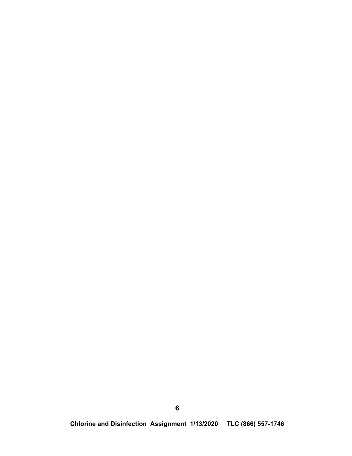**Chlorine and Disinfection Assignment 1/13/2020 TLC (866) 557-1746**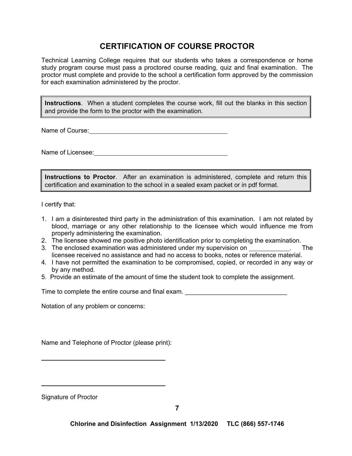# **CERTIFICATION OF COURSE PROCTOR**

Technical Learning College requires that our students who takes a correspondence or home study program course must pass a proctored course reading, quiz and final examination. The proctor must complete and provide to the school a certification form approved by the commission for each examination administered by the proctor.

**Instructions**. When a student completes the course work, fill out the blanks in this section and provide the form to the proctor with the examination.

Name of Course: **Name of Course:** 

Name of Licensee: **Name of Licensee:** 

**Instructions to Proctor**. After an examination is administered, complete and return this certification and examination to the school in a sealed exam packet or in pdf format.

I certify that:

- 1. I am a disinterested third party in the administration of this examination. I am not related by blood, marriage or any other relationship to the licensee which would influence me from properly administering the examination.
- 2. The licensee showed me positive photo identification prior to completing the examination.
- 3. The enclosed examination was administered under my supervision on . The licensee received no assistance and had no access to books, notes or reference material.
- 4. I have not permitted the examination to be compromised, copied, or recorded in any way or by any method.
- 5. Provide an estimate of the amount of time the student took to complete the assignment.

Time to complete the entire course and final exam.

Notation of any problem or concerns:

Name and Telephone of Proctor (please print):

Signature of Proctor

 $\overline{a}$ 

 $\overline{a}$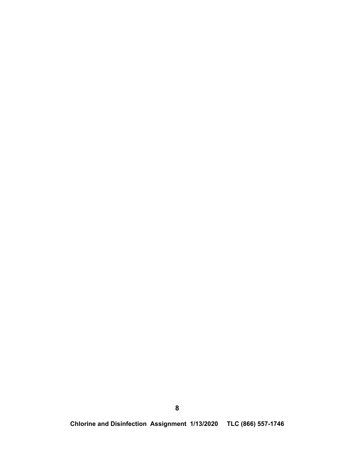**Chlorine and Disinfection Assignment 1/13/2020 TLC (866) 557-1746**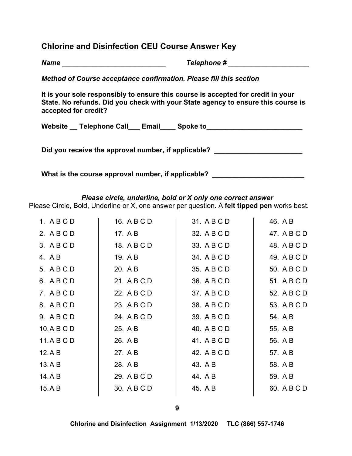### **Chlorine and Disinfection CEU Course Answer Key**

*Name \_\_\_\_\_\_\_\_\_\_\_\_\_\_\_\_\_\_\_\_\_\_\_\_\_\_\_ Telephone # \_\_\_\_\_\_\_\_\_\_\_\_\_\_\_\_\_\_\_\_\_* 

*Method of Course acceptance confirmation. Please fill this section* 

**It is your sole responsibly to ensure this course is accepted for credit in your State. No refunds. Did you check with your State agency to ensure this course is accepted for credit?** 

Website Telephone Call Email Spoke to

**Did you receive the approval number, if applicable? \_\_\_\_\_\_\_\_\_\_\_\_\_\_\_\_\_\_\_\_\_\_\_** 

What is the course approval number, if applicable?

*Please circle, underline, bold or X only one correct answer* 

Please Circle, Bold, Underline or X, one answer per question. A **felt tipped pen** works best.

| 1. ABCD | 16. A B C D | 31. A B C D | 46. A B     |
|---------|-------------|-------------|-------------|
| 2. ABCD | 17. A B     | 32. A B C D | 47. A B C D |
| 3. ABCD | 18. A B C D | 33. A B C D | 48. A B C D |
| 4. A B  | 19. A B     | 34. A B C D | 49. A B C D |
| 5. ABCD | 20. A B     | 35. A B C D | 50. A B C D |
| 6. ABCD | 21. A B C D | 36. A B C D | 51. A B C D |
| 7. ABCD | 22. A B C D | 37. A B C D | 52. A B C D |
| 8. ABCD | 23. A B C D | 38. A B C D | 53. A B C D |
| 9. ABCD | 24. A B C D | 39. A B C D | 54. A B     |
| 10.ABCD | 25. A B     | 40. A B C D | 55. A B     |
| 11.ABCD | 26. A B     | 41. A B C D | 56. A B     |
| 12.AB   | 27. A B     | 42. A B C D | 57. A B     |
| 13.AB   | 28. A B     | 43. A B     | 58. A B     |
| 14.AB   | 29. A B C D | 44. A B     | 59. A B     |
| 15.AB   | 30. A B C D | 45. A B     | 60. A B C D |
|         |             |             |             |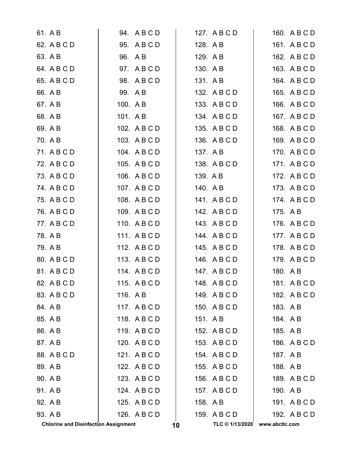| <b>Chlorine and Disinfection Assignment</b> |              | TLC © 1/13/2020<br>10 | www.abctlc.com |
|---------------------------------------------|--------------|-----------------------|----------------|
| 93. A B                                     | 126. A B C D | 159. A B C D          | 192. A B C D   |
| 92. A B                                     | 125. A B C D | 158. A B              | 191. A B C D   |
| 91. A B                                     | 124. A B C D | 157. A B C D          | 190. A B       |
| 90. A B                                     | 123. A B C D | 156. A B C D          | 189. A B C D   |
| 89. A B                                     | 122. A B C D | 155. A B C D          | 188. AB        |
| 88. A B C D                                 | 121. A B C D | 154. A B C D          | 187. A B       |
| 87. A B                                     | 120. A B C D | 153. A B C D          | 186. A B C D   |
| 86. A B                                     | 119. ABCD    | 152. A B C D          | 185. A B       |
| 85. A B                                     | 118. ABCD    | 151. AB               | 184. A B       |
| 84. A B                                     | 117. ABCD    | 150. A B C D          | 183. A B       |
| 83. A B C D                                 | 116. A B     | 149. A B C D          | 182. A B C D   |
| 82. A B C D                                 | 115. ABCD    | 148. A B C D          | 181. A B C D   |
| 81. A B C D                                 | 114. A B C D | 147. A B C D          | 180. A B       |
| 80. A B C D                                 | 113. ABCD    | 146. A B C D          | 179. A B C D   |
| 79. A B                                     | 112. A B C D | 145. A B C D          | 178. A B C D   |
| 78. A B                                     | 111. ABCD    | 144. ABCD             | 177. ABCD      |
| 77. A B C D                                 | 110. ABCD    | 143. ABCD             | 176. A B C D   |
| 76. A B C D                                 | 109. ABCD    | 142. A B C D          | 175. A B       |
| 75. A B C D                                 | 108. A B C D | 141. A B C D          | 174. A B C D   |
| 74. A B C D                                 | 107. A B C D | 140. A B              | 173. A B C D   |
| 73. A B C D                                 | 106. A B C D | 139. A B              | 172. A B C D   |
| 72. A B C D                                 | 105. ABCD    | 138. A B C D          | 171. A B C D   |
| 71. A B C D                                 | 104. ABCD    | 137. A B              | 170. A B C D   |
| 70. A B                                     | 103. A B C D | 136. A B C D          | 169. A B C D   |
| 69. A B                                     | 102. A B C D | 135. A B C D          | 168. A B C D   |
| 68. A B                                     | 101. AB      | 134. A B C D          | 167. A B C D   |
| 67. A B                                     | 100. A B     | 133. A B C D          | 166. A B C D   |
| 66. A B                                     | 99. AB       | 132. A B C D          | 165. A B C D   |
| 65. A B C D                                 | 98. A B C D  | 131. A B              | 164. A B C D   |
| 64. A B C D                                 | 97. A B C D  | 130. AB               | 163. A B C D   |
| 63. A B                                     | 96. A B      | 129. A B              | 162. A B C D   |
| 62. A B C D                                 | 95. A B C D  | 128. A B              | 161. A B C D   |
| 61. A B                                     | 94. A B C D  | 127. A B C D          | 160. A B C D   |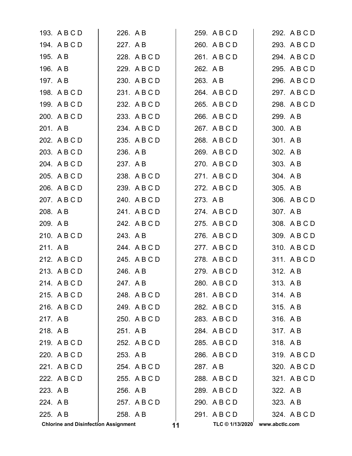|          | <b>Chlorine and Disinfection Assignment</b> |          | 11           |          | TLC © 1/13/2020 www.abctlc.com |          |              |
|----------|---------------------------------------------|----------|--------------|----------|--------------------------------|----------|--------------|
| 225. A B |                                             | 258. A B |              |          | 291. A B C D                   |          | 324. A B C D |
| 224. AB  |                                             |          | 257. ABCD    |          | 290. A B C D                   | 323. A B |              |
| 223. A B |                                             | 256. A B |              |          | 289. ABCD                      | 322. A B |              |
|          | 222. A B C D                                |          | 255. A B C D |          | 288. A B C D                   |          | 321. A B C D |
|          | 221. A B C D                                |          | 254. A B C D | 287. A B |                                |          | 320. A B C D |
|          | 220. A B C D                                | 253. A B |              |          | 286. A B C D                   |          | 319. ABCD    |
|          | 219. ABCD                                   |          | 252. A B C D |          | 285. A B C D                   | 318. AB  |              |
| 218. AB  |                                             | 251. A B |              |          | 284. ABCD                      | 317. AB  |              |
| 217. AB  |                                             |          | 250. A B C D |          | 283. A B C D                   | 316. AB  |              |
|          | 216. ABCD                                   |          | 249. ABCD    |          | 282. A B C D                   | 315. A B |              |
|          | 215. A B C D                                |          | 248. A B C D |          | 281. ABCD                      | 314. AB  |              |
|          | 214. A B C D                                | 247. AB  |              |          | 280. A B C D                   | 313. AB  |              |
|          | 213. A B C D                                | 246. AB  |              |          | 279. A B C D                   | 312. AB  |              |
|          | 212. A B C D                                |          | 245. A B C D |          | 278. A B C D                   |          | 311. A B C D |
| 211. A B |                                             |          | 244. A B C D |          | 277. ABCD                      |          | 310. ABCD    |
|          | 210. A B C D                                | 243. A B |              |          | 276. A B C D                   |          | 309. A B C D |
| 209. AB  |                                             |          | 242. A B C D |          | 275. A B C D                   |          | 308. A B C D |
| 208. A B |                                             |          | 241. A B C D |          | 274. ABCD                      | 307. A B |              |
|          | 207. A B C D                                |          | 240. A B C D |          | 273. A B                       |          | 306. A B C D |
|          | 206. A B C D                                |          | 239. A B C D |          | 272. A B C D                   | 305. A B |              |
|          | 205. A B C D                                |          | 238. ABCD    |          | 271. ABCD                      | 304. AB  |              |
|          | 204. A B C D                                | 237. A B |              |          | 270. A B C D                   | 303. A B |              |
|          | 203. A B C D                                | 236. A B |              |          | 269. A B C D                   | 302. A B |              |
|          | 202. A B C D                                |          | 235. A B C D |          | 268. A B C D                   | 301. AB  |              |
| 201. A B |                                             |          | 234. A B C D |          | 267. A B C D                   | 300. A B |              |
|          | 200. A B C D                                |          | 233. A B C D |          | 266. A B C D                   | 299. AB  |              |
|          | 199. A B C D                                |          | 232. A B C D |          | 265. A B C D                   |          | 298. A B C D |
|          | 198. A B C D                                |          | 231. A B C D |          | 264. A B C D                   |          | 297. A B C D |
| 197. AB  |                                             |          | 230. A B C D | 263. A B |                                |          | 296. A B C D |
| 196. A B |                                             |          | 229. A B C D | 262. A B |                                |          | 295. A B C D |
| 195. A B |                                             |          | 228. A B C D |          | 261. A B C D                   |          | 294. A B C D |
|          | 194. ABCD                                   | 227. A B |              |          | 260. A B C D                   |          | 293. A B C D |
|          | 193. A B C D                                | 226. A B |              |          | 259. A B C D                   |          | 292. A B C D |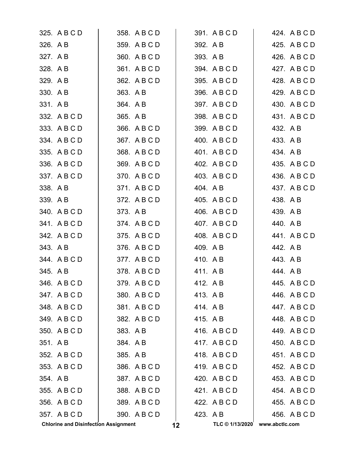| 325. A B C D                                | 358. A B C D | 391. A B C D          | 424. A B C D   |
|---------------------------------------------|--------------|-----------------------|----------------|
| 326. AB                                     | 359. A B C D | 392. A B              | 425. A B C D   |
| 327. AB                                     | 360. A B C D | 393. AB               | 426. A B C D   |
| 328. AB                                     | 361. A B C D | 394. A B C D          | 427. A B C D   |
| 329. AB                                     | 362. A B C D | 395. A B C D          | 428. A B C D   |
| 330. AB                                     | 363. AB      | 396. A B C D          | 429. A B C D   |
| 331. AB                                     | 364. AB      | 397. ABCD             | 430. A B C D   |
| 332. A B C D                                | 365. A B     | 398. A B C D          | 431. A B C D   |
| 333. A B C D                                | 366. A B C D | 399. A B C D          | 432. A B       |
| 334. A B C D                                | 367. A B C D | 400. A B C D          | 433. A B       |
| 335. A B C D                                | 368. A B C D | 401. A B C D          | 434. A B       |
| 336. A B C D                                | 369. A B C D | 402. A B C D          | 435. A B C D   |
| 337. A B C D                                | 370. A B C D | 403. A B C D          | 436. A B C D   |
| 338. AB                                     | 371. A B C D | 404. A B              | 437. A B C D   |
| 339. AB                                     | 372. A B C D | 405. A B C D          | 438. A B       |
| 340. A B C D                                | 373. AB      | 406. A B C D          | 439. A B       |
| 341. ABCD                                   | 374. A B C D | 407. ABCD             | 440. A B       |
| 342. A B C D                                | 375. A B C D | 408. A B C D          | 441. ABCD      |
| 343. A B                                    | 376. A B C D | 409. AB               | 442. A B       |
| 344. ABCD                                   | 377. ABCD    | 410. A B              | 443. A B       |
| 345. A B                                    | 378. A B C D | 411. AB               | 444. AB        |
| 346. A B C D                                | 379. A B C D | 412. A B              | 445. A B C D   |
| 347. ABCD                                   | 380. A B C D | 413. AB               | 446. A B C D   |
| 348. ABCD                                   | 381. ABCD    | 414. AB               | 447. ABCD      |
| 349. ABCD                                   | 382. ABCD    | 415. A B              | 448. A B C D   |
| 350. ABCD                                   | 383. AB      | 416. ABCD             | 449. ABCD      |
| 351. AB                                     | 384. AB      | 417. ABCD             | 450. A B C D   |
| 352. A B C D                                | 385. A B     | 418. ABCD             | 451. ABCD      |
| 353. A B C D                                | 386. ABCD    | 419. ABCD             | 452. A B C D   |
| 354. A B                                    | 387. ABCD    | 420. A B C D          | 453. A B C D   |
| 355. ABCD                                   | 388. A B C D | 421. ABCD             | 454. A B C D   |
| 356. A B C D                                | 389. ABCD    | 422. A B C D          | 455. A B C D   |
| 357. A B C D                                | 390. A B C D | 423. A B              | 456. A B C D   |
| <b>Chlorine and Disinfection Assignment</b> |              | TLC © 1/13/2020<br>12 | www.abctlc.com |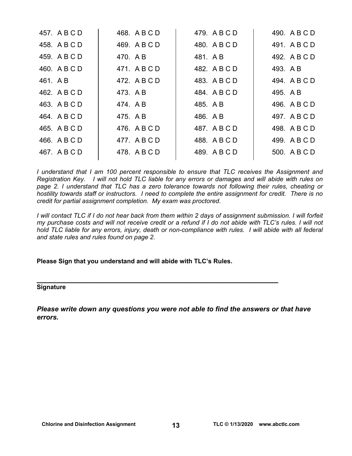| 457. ABCD    | 468. A B C D | 479. ABCD    | 490. A B C D |
|--------------|--------------|--------------|--------------|
| 458. A B C D | 469. A B C D | 480. A B C D | 491. ABCD    |
| 459. A B C D | 470. A B     | 481. AB      | 492. A B C D |
| 460. A B C D | 471. ABCD    | 482. A B C D | 493. A B     |
| 461. A B     | 472. A B C D | 483. A B C D | 494. A B C D |
| 462. A B C D | 473. A B     | 484. A B C D | 495. A B     |
| 463. A B C D | 474. AB      | 485. A B     | 496. A B C D |
| 464. A B C D | 475. A B     | 486. AB      | 497. A B C D |
| 465. A B C D | 476. A B C D | 487. ABCD    | 498. A B C D |
| 466. A B C D | 477. ABCD    | 488. ABCD    | 499. A B C D |
| 467. ABCD    | 478. A B C D | 489. ABCD    | 500. A B C D |
|              |              |              |              |

*I understand that I am 100 percent responsible to ensure that TLC receives the Assignment and Registration Key. I will not hold TLC liable for any errors or damages and will abide with rules on page 2. I understand that TLC has a zero tolerance towards not following their rules, cheating or hostility towards staff or instructors. I need to complete the entire assignment for credit. There is no credit for partial assignment completion. My exam was proctored.* 

*I will contact TLC if I do not hear back from them within 2 days of assignment submission. I will forfeit my purchase costs and will not receive credit or a refund if I do not abide with TLC's rules. I will not hold TLC liable for any errors, injury, death or non-compliance with rules. I will abide with all federal and state rules and rules found on page 2.* 

**Please Sign that you understand and will abide with TLC's Rules.** 

# **\_\_\_\_\_\_\_\_\_\_\_\_\_\_\_\_\_\_\_\_\_\_\_\_\_\_\_\_\_\_\_\_\_\_\_\_\_\_\_\_\_\_\_\_\_\_\_\_\_\_\_\_\_\_ Signature**

*Please write down any questions you were not able to find the answers or that have errors.*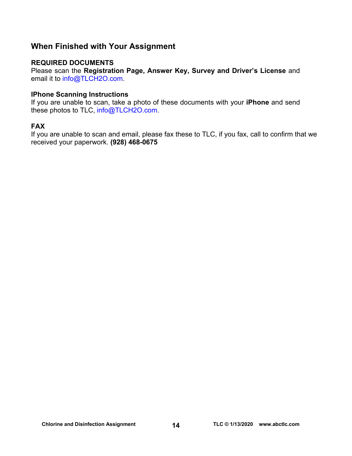### **When Finished with Your Assignment**

### **REQUIRED DOCUMENTS**

Please scan the **Registration Page, Answer Key, Survey and Driver's License** and email it to [info@TLCH2O.com.](mailto:info@TLCH2O.com) 

### **IPhone Scanning Instructions**

If you are unable to scan, take a photo of these documents with your **iPhone** and send these photos to TLC, info@TLCH2O.com.

### **FAX**

If you are unable to scan and email, please fax these to TLC, if you fax, call to confirm that we received your paperwork. **(928) 468-0675**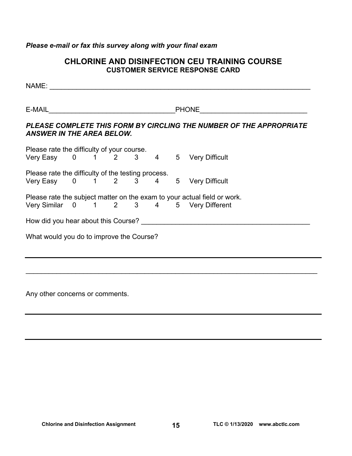### *Please e-mail or fax this survey along with your final exam*

### **CHLORINE AND DISINFECTION CEU TRAINING COURSE CUSTOMER SERVICE RESPONSE CARD**

|                                                                                                        |  |  |  | PHONE ______________________                                             |
|--------------------------------------------------------------------------------------------------------|--|--|--|--------------------------------------------------------------------------|
| <b>ANSWER IN THE AREA BELOW.</b>                                                                       |  |  |  | PLEASE COMPLETE THIS FORM BY CIRCLING THE NUMBER OF THE APPROPRIATE      |
| Please rate the difficulty of your course.<br>Very Easy 0 1 2 3 4 5 Very Difficult                     |  |  |  |                                                                          |
| Please rate the difficulty of the testing process.<br>Very Easy $0$ $1$ $2$ $3$ $4$ $5$ Very Difficult |  |  |  |                                                                          |
| Very Similar 0 1 2 3 4 5 Very Different                                                                |  |  |  | Please rate the subject matter on the exam to your actual field or work. |
|                                                                                                        |  |  |  | How did you hear about this Course?                                      |
| What would you do to improve the Course?                                                               |  |  |  |                                                                          |

 $\mathcal{L}_\mathcal{L} = \mathcal{L}_\mathcal{L} = \mathcal{L}_\mathcal{L} = \mathcal{L}_\mathcal{L} = \mathcal{L}_\mathcal{L} = \mathcal{L}_\mathcal{L} = \mathcal{L}_\mathcal{L} = \mathcal{L}_\mathcal{L} = \mathcal{L}_\mathcal{L} = \mathcal{L}_\mathcal{L} = \mathcal{L}_\mathcal{L} = \mathcal{L}_\mathcal{L} = \mathcal{L}_\mathcal{L} = \mathcal{L}_\mathcal{L} = \mathcal{L}_\mathcal{L} = \mathcal{L}_\mathcal{L} = \mathcal{L}_\mathcal{L}$ 

Any other concerns or comments.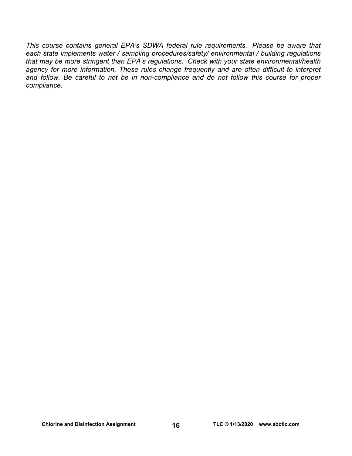*This course contains general EPA's SDWA federal rule requirements. Please be aware that each state implements water / sampling procedures/safety/ environmental / building regulations that may be more stringent than EPA's regulations. Check with your state environmental/health agency for more information. These rules change frequently and are often difficult to interpret and follow. Be careful to not be in non-compliance and do not follow this course for proper compliance.*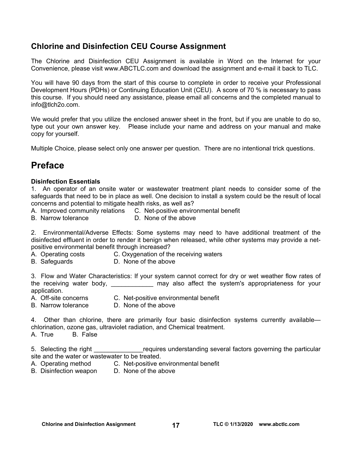# **Chlorine and Disinfection CEU Course Assignment**

The Chlorine and Disinfection CEU Assignment is available in Word on the Internet for your Convenience, please visit [www.ABCTLC.com an](http://www.ABCTLC.com)d download the assignment and e-mail it back to TLC.

You will have 90 days from the start of this course to complete in order to receive your Professional Development Hours (PDHs) or Continuing Education Unit (CEU). A score of 70 % is necessary to pass this course. If you should need any assistance, please email all concerns and the completed manual to [info@tlch2o.com.](mailto:info@tlch2o.com) 

We would prefer that you utilize the enclosed answer sheet in the front, but if you are unable to do so, type out your own answer key. Please include your name and address on your manual and make copy for yourself.

Multiple Choice, please select only one answer per question. There are no intentional trick questions.

# **Preface**

#### **Disinfection Essentials**

1. An operator of an onsite water or wastewater treatment plant needs to consider some of the safeguards that need to be in place as well. One decision to install a system could be the result of local concerns and potential to mitigate health risks, as well as?

- A. Improved community relations C. Net-positive environmental benefit
- B. Narrow tolerance D. None of the above

2. Environmental/Adverse Effects: Some systems may need to have additional treatment of the disinfected effluent in order to render it benign when released, while other systems may provide a netpositive environmental benefit through increased?

- A. Operating costs C. Oxygenation of the receiving waters
- B. Safeguards D. None of the above

3. Flow and Water Characteristics: If your system cannot correct for dry or wet weather flow rates of the receiving water body, \_\_\_\_\_\_\_\_\_\_\_\_ may also affect the system's appropriateness for your application.

- A. Off-site concerns C. Net-positive environmental benefit<br>B. Narrow tolerance D. None of the above
	- D. None of the above

4. Other than chlorine, there are primarily four basic disinfection systems currently available chlorination, ozone gas, ultraviolet radiation, and Chemical treatment.

A. True B. False

5. Selecting the right The requires understanding several factors governing the particular site and the water or wastewater to be treated.

- 
- A. Operating method C. Net-positive environmental benefit
- B. Disinfection weapon D. None of the above
-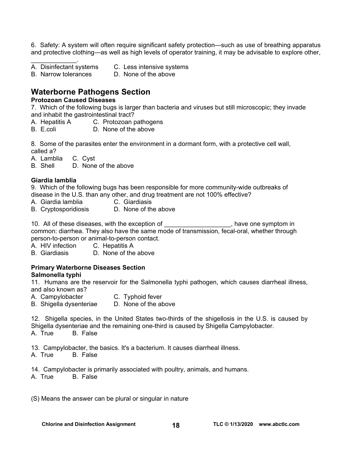6. Safety: A system will often require significant safety protection—such as use of breathing apparatus and protective clothing—as well as high levels of operator training, it may be advisable to explore other,

- A. Disinfectant systems C. Less intensive systems<br>B. Narrow tolerances D. None of the above
- B. Narrow tolerances

 $\mathcal{L}_\text{max}$  . The set of the set of the set of the set of the set of the set of the set of the set of the set of the set of the set of the set of the set of the set of the set of the set of the set of the set of the set

- 
- 

# **Waterborne Pathogens Section**

#### **Protozoan Caused Diseases**

7. Which of the following bugs is larger than bacteria and viruses but still microscopic; they invade and inhabit the gastrointestinal tract?

- A. Hepatitis A C. Protozoan pathogens
- B. E.coli D. None of the above

8. Some of the parasites enter the environment in a dormant form, with a protective cell wall, called a?

- A. Lamblia C. Cyst
- B. Shell D. None of the above

#### **Giardia lamblia**

9. Which of the following bugs has been responsible for more community-wide outbreaks of disease in the U.S. than any other, and drug treatment are not 100% effective?

- A. Giardia lamblia C. Giardiasis
- B. Cryptosporidiosis D. None of the above

10. All of these diseases, with the exception of \_\_\_\_\_\_\_\_\_\_\_\_\_\_\_\_\_\_\_, have one symptom in common: diarrhea. They also have the same mode of transmission, fecal-oral, whether through person-to-person or animal-to-person contact.

- A. HIV infection C. Hepatitis A
- B. Giardiasis D. None of the above

#### **Primary Waterborne Diseases Section Salmonella typhi**

11. Humans are the reservoir for the Salmonella typhi pathogen, which causes diarrheal illness, and also known as?

- A. Campylobacter **C. Typhoid fever**<br>B. Shigella dysenteriae **D. None of the above**
- B. Shigella dysenteriae

12. Shigella species, in the United States two-thirds of the shigellosis in the U.S. is caused by Shigella dysenteriae and the remaining one-third is caused by Shigella Campylobacter.

- A. True B. False
- 13. Campylobacter, the basics. It's a bacterium. It causes diarrheal illness.<br>A. True B. False
- **B.** False
- 14. Campylobacter is primarily associated with poultry, animals, and humans.
- A. True B. False
- (S) Means the answer can be plural or singular in nature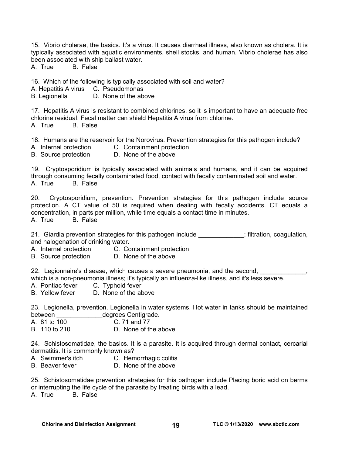15. Vibrio cholerae, the basics. It's a virus. It causes diarrheal illness, also known as cholera. It is typically associated with aquatic environments, shell stocks, and human. Vibrio cholerae has also been associated with ship ballast water.

A. True B. False

16. Which of the following is typically associated with soil and water?

A. Hepatitis A virus C. Pseudomonas

B. Legionella D. None of the above

17. Hepatitis A virus is resistant to combined chlorines, so it is important to have an adequate free chlorine residual. Fecal matter can shield Hepatitis A virus from chlorine.

A. True B. False

18. Humans are the reservoir for the Norovirus. Prevention strategies for this pathogen include?

A. Internal protection C. Containment protection

B. Source protection D. None of the above

19. Cryptosporidium is typically associated with animals and humans, and it can be acquired through consuming fecally contaminated food, contact with fecally contaminated soil and water. A. True B. False

20. Cryptosporidium, prevention. Prevention strategies for this pathogen include source protection. A CT value of 50 is required when dealing with fecally accidents. CT equals a concentration, in parts per million, while time equals a contact time in minutes. A. True B. False

21. Giardia prevention strategies for this pathogen include **the set in the set of set of the set of the set of t** and halogenation of drinking water.

A. Internal protection C. Containment protection

B. Source protection D. None of the above

22. Legionnaire's disease, which causes a severe pneumonia, and the second,

which is a non-pneumonia illness; it's typically an influenza-like illness, and it's less severe.

A. Pontiac fever C. Typhoid fever

B. Yellow fever D. None of the above

23. Legionella, prevention. Legionella in water systems. Hot water in tanks should be maintained between degrees Centigrade.

- A. 81 to 100 C. 71 and 77
- B. 110 to 210 D. None of the above

24. Schistosomatidae, the basics. It is a parasite. It is acquired through dermal contact, cercarial dermatitis. It is commonly known as?

- A. Swimmer's itch C. Hemorrhagic colitis
- B. Beaver fever D. None of the above

25. Schistosomatidae prevention strategies for this pathogen include Placing boric acid on berms or interrupting the life cycle of the parasite by treating birds with a lead.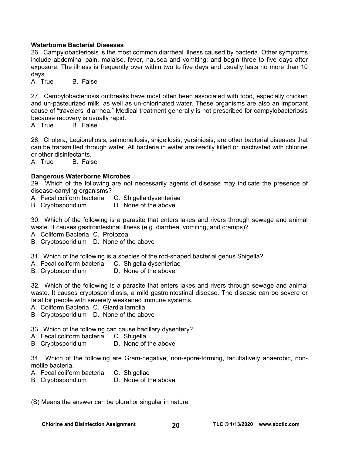#### **Waterborne Bacterial Diseases**

26. Campylobacteriosis is the most common diarrheal illness caused by bacteria. Other symptoms include abdominal pain, malaise, fever, nausea and vomiting; and begin three to five days after exposure. The illness is frequently over within two to five days and usually lasts no more than 10 days.

A. True B. False

27. Campylobacteriosis outbreaks have most often been associated with food, especially chicken and un-pasteurized milk, as well as un-chlorinated water. These organisms are also an important cause of "travelers' diarrhea." Medical treatment generally is not prescribed for campylobacteriosis because recovery is usually rapid.

A. True B. False

28. Cholera, Legionellosis, salmonellosis, shigellosis, yersiniosis, are other bacterial diseases that can be transmitted through water. All bacteria in water are readily killed or inactivated with chlorine or other disinfectants.

A. True B. False

#### **Dangerous Waterborne Microbes**

29. Which of the following are not necessarily agents of disease may indicate the presence of disease-carrying organisms?

- A. Fecal coliform bacteria C. Shigella dysenteriae
- B. Cryptosporidium D. None of the above

30. Which of the following is a parasite that enters lakes and rivers through sewage and animal waste. It causes gastrointestinal illness (e.g. diarrhea, vomiting, and cramps)?

- A. Coliform Bacteria C. Protozoa
- B. Cryptosporidium D. None of the above
- 31. Which of the following is a species of the rod-shaped bacterial genus Shigella?
- A. Fecal coliform bacteria C. Shigella dysenteriae
- B. Cryptosporidium D. None of the above

32. Which of the following is a parasite that enters lakes and rivers through sewage and animal waste. It causes cryptosporidiosis, a mild gastrointestinal disease. The disease can be severe or fatal for people with severely weakened immune systems.

- A. Coliform Bacteria C. Giardia lamblia
- B. Cryptosporidium D. None of the above
- 33. Which of the following can cause bacillary dysentery?
- A. Fecal coliform bacteria C. Shigella
- B. Cryptosporidium D. None of the above

34. Which of the following are Gram-negative, non-spore-forming, facultatively anaerobic, nonmotile bacteria.

- A. Fecal coliform bacteria C. Shigellae
- B. Cryptosporidium D. None of the above

(S) Means the answer can be plural or singular in nature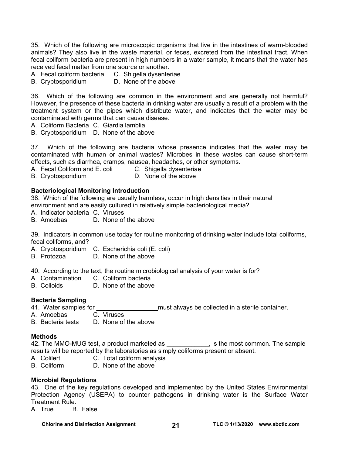35. Which of the following are microscopic organisms that live in the intestines of warm-blooded animals? They also live in the waste material, or feces, excreted from the intestinal tract. When fecal coliform bacteria are present in high numbers in a water sample, it means that the water has received fecal matter from one source or another.

A. Fecal coliform bacteria C. Shigella dysenteriae

B. Cryptosporidium D. None of the above

36. Which of the following are common in the environment and are generally not harmful? However, the presence of these bacteria in drinking water are usually a result of a problem with the treatment system or the pipes which distribute water, and indicates that the water may be contaminated with germs that can cause disease.

- A. Coliform Bacteria C. Giardia lamblia
- B. Cryptosporidium D. None of the above

37. Which of the following are bacteria whose presence indicates that the water may be contaminated with human or animal wastes? Microbes in these wastes can cause short-term effects, such as diarrhea, cramps, nausea, headaches, or other symptoms.

A. Fecal Coliform and E. coli C. Shigella dysenteriae

B. Cryptosporidium D. None of the above

#### **Bacteriological Monitoring Introduction**

38. Which of the following are usually harmless, occur in high densities in their natural environment and are easily cultured in relatively simple bacteriological media?

- A. Indicator bacteria C. Viruses
- B. Amoebas D. None of the above

39. Indicators in common use today for routine monitoring of drinking water include total coliforms, fecal coliforms, and?

- A. Cryptosporidium C. Escherichia coli (E. coli)
- B. Protozoa D. None of the above
- 40. According to the text, the routine microbiological analysis of your water is for?
- A. Contamination C. Coliform bacteria<br>
B. Colloids B. None of the above
- D. None of the above

#### **Bacteria Sampling**

- 41. Water samples for  $\blacksquare$  must always be collected in a sterile container.
- A. Amoebas C. Viruses
- B. Bacteria tests D. None of the above

#### **Methods**

42. The MMO-MUG test, a product marketed as \_\_\_\_\_\_\_\_\_\_\_\_, is the most common. The sample results will be reported by the laboratories as simply coliforms present or absent.

- A. Colilert **C.** Total coliform analysis
- B. Coliform D. None of the above

#### **Microbial Regulations**

43. One of the key regulations developed and implemented by the United States Environmental Protection Agency (USEPA) to counter pathogens in drinking water is the Surface Water Treatment Rule.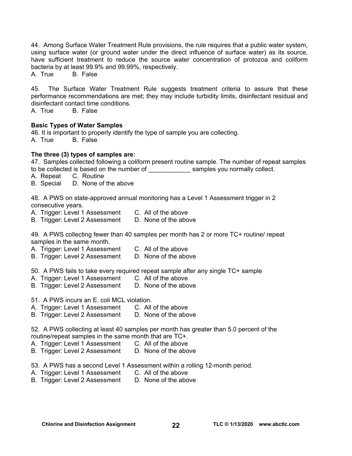44. Among Surface Water Treatment Rule provisions, the rule requires that a public water system, using surface water (or ground water under the direct influence of surface water) as its source, have sufficient treatment to reduce the source water concentration of protozoa and coliform bacteria by at least 99.9% and 99.99%, respectively.

A. True B. False

45. The Surface Water Treatment Rule suggests treatment criteria to assure that these performance recommendations are met; they may include turbidity limits, disinfectant residual and disinfectant contact time conditions.

A. True B. False

#### **Basic Types of Water Samples**

46. It is important to properly identify the type of sample you are collecting.

A. True B. False

#### **The three (3) types of samples are:**

47. Samples collected following a coliform present routine sample. The number of repeat samples to be collected is based on the number of examples you normally collect.

- A. Repeat C. Routine
- B. Special D. None of the above

48. A PWS on state-approved annual monitoring has a Level 1 Assessment trigger in 2 consecutive years.

- A. Trigger: Level 1 Assessment C. All of the above
- B. Trigger: Level 2 Assessment D. None of the above

49. A PWS collecting fewer than 40 samples per month has 2 or more TC+ routine/ repeat samples in the same month.

- A. Trigger: Level 1 Assessment C. All of the above
- B. Trigger: Level 2 Assessment D. None of the above
- 50. A PWS fails to take every required repeat sample after any single TC+ sample
- A. Trigger: Level 1 Assessment C. All of the above<br>B. Trigger: Level 2 Assessment D. None of the above
- B. Trigger: Level 2 Assessment
- 51. A PWS incurs an E. coli MCL violation.
- A. Trigger: Level 1 Assessment C. All of the above
- B. Trigger: Level 2 Assessment D. None of the above

52. A PWS collecting at least 40 samples per month has greater than 5.0 percent of the routine/repeat samples in the same month that are TC+.

- A. Trigger: Level 1 Assessment C. All of the above
- B. Trigger: Level 2 Assessment D. None of the above
- 53. A PWS has a second Level 1 Assessment within a rolling 12-month period.
- A. Trigger: Level 1 Assessment C. All of the above<br>B. Trigger: Level 2 Assessment D. None of the above
- B. Trigger: Level 2 Assessment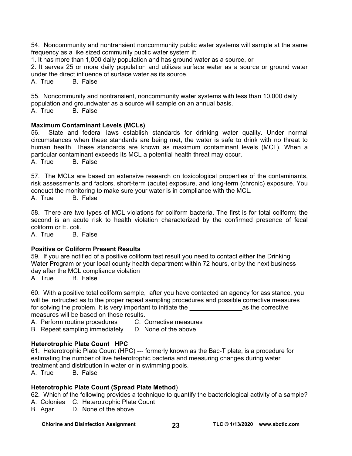54. Noncommunity and nontransient noncommunity public water systems will sample at the same frequency as a like sized community public water system if:

1. It has more than 1,000 daily population and has ground water as a source, or

2. It serves 25 or more daily population and utilizes surface water as a source or ground water under the direct influence of surface water as its source.

A. True B. False

55. Noncommunity and nontransient, noncommunity water systems with less than 10,000 daily population and groundwater as a source will sample on an annual basis.<br>A. True B. False

**B.** False

#### **Maximum Contaminant Levels (MCLs)**

56. State and federal laws establish standards for drinking water quality. Under normal circumstances when these standards are being met, the water is safe to drink with no threat to human health. These standards are known as maximum contaminant levels (MCL). When a particular contaminant exceeds its MCL a potential health threat may occur.

A. True B. False

57. The MCLs are based on extensive research on toxicological properties of the contaminants, risk assessments and factors, short-term (acute) exposure, and long-term (chronic) exposure. You conduct the monitoring to make sure your water is in compliance with the MCL.

A. True B. False

58. There are two types of MCL violations for coliform bacteria. The first is for total coliform; the second is an acute risk to health violation characterized by the confirmed presence of fecal coliform or E. coli.

A. True B. False

#### **Positive or Coliform Present Results**

59. If you are notified of a positive coliform test result you need to contact either the Drinking Water Program or your local county health department within 72 hours, or by the next business day after the MCL compliance violation

A. True B. False

60. With a positive total coliform sample, after you have contacted an agency for assistance, you will be instructed as to the proper repeat sampling procedures and possible corrective measures for solving the problem. It is very important to initiate the **Example 2** as the corrective measures will be based on those results.

- A. Perform routine procedures C. Corrective measures
- B. Repeat sampling immediately D. None of the above

#### **Heterotrophic Plate Count HPC**

61. Heterotrophic Plate Count (HPC) --- formerly known as the Bac-T plate, is a procedure for estimating the number of live heterotrophic bacteria and measuring changes during water treatment and distribution in water or in swimming pools.

A. True B. False

#### **Heterotrophic Plate Count (Spread Plate Method**)

62. Which of the following provides a technique to quantify the bacteriological activity of a sample?

- A. Colonies C. Heterotrophic Plate Count
- B. Agar D. None of the above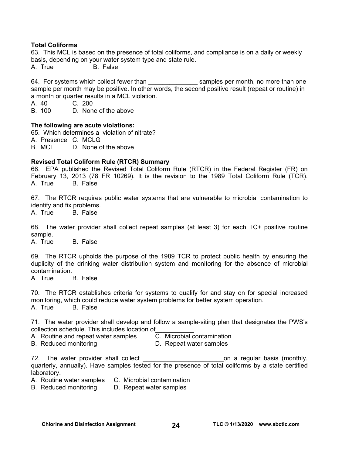#### **Total Coliforms**

63. This MCL is based on the presence of total coliforms, and compliance is on a daily or weekly basis, depending on your water system type and state rule.

A. True B. False

64. For systems which collect fewer than \_\_\_\_\_\_\_\_\_\_\_\_\_\_\_\_\_\_\_\_\_ samples per month, no more than one sample per month may be positive. In other words, the second positive result (repeat or routine) in a month or quarter results in a MCL violation.

- A. 40 C. 200
- B. 100 D. None of the above

#### **The following are acute violations:**

65. Which determines a violation of nitrate?

A. Presence C. MCLG

B. MCL D. None of the above

#### **Revised Total Coliform Rule (RTCR) Summary**

66. EPA published the Revised Total Coliform Rule (RTCR) in the Federal Register (FR) on February 13, 2013 (78 FR 10269). It is the revision to the 1989 Total Coliform Rule (TCR). A. True B. False

67. The RTCR requires public water systems that are vulnerable to microbial contamination to identify and fix problems.

A. True B. False

68. The water provider shall collect repeat samples (at least 3) for each TC+ positive routine sample.

A. True B. False

69. The RTCR upholds the purpose of the 1989 TCR to protect public health by ensuring the duplicity of the drinking water distribution system and monitoring for the absence of microbial contamination.

A. True B. False

70. The RTCR establishes criteria for systems to qualify for and stay on for special increased monitoring, which could reduce water system problems for better system operation.

A. True B. False

71. The water provider shall develop and follow a sample-siting plan that designates the PWS's collection schedule. This includes location of\_\_\_\_\_\_\_\_\_\_\_.

- A. Routine and repeat water samples C. Microbial contamination
- B. Reduced monitoring D. Repeat water samples

72. The water provider shall collect and the state of a regular basis (monthly, quarterly, annually). Have samples tested for the presence of total coliforms by a state certified laboratory.

- A. Routine water samples C. Microbial contamination
- B. Reduced monitoring D. Repeat water samples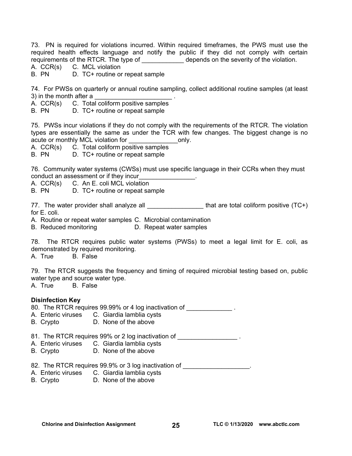73. PN is required for violations incurred. Within required timeframes, the PWS must use the required health effects language and notify the public if they did not comply with certain requirements of the RTCR. The type of \_\_\_\_\_\_\_\_\_\_\_\_\_\_ depends on the severity of the violation.

A. CCR(s) C. MCL violation

B. PN D. TC+ routine or repeat sample

74. For PWSs on quarterly or annual routine sampling, collect additional routine samples (at least  $3)$  in the month after a

A. CCR(s) C. Total coliform positive samples

B. PN D. TC+ routine or repeat sample

75. PWSs incur violations if they do not comply with the requirements of the RTCR. The violation types are essentially the same as under the TCR with few changes. The biggest change is no acute or monthly MCL violation for \_\_\_\_\_\_\_\_\_\_\_\_\_\_\_\_\_\_only.

A. CCR(s) C. Total coliform positive samples

B. PN D. TC+ routine or repeat sample

76. Community water systems (CWSs) must use specific language in their CCRs when they must conduct an assessment or if they incur

A. CCR(s) C. An E. coli MCL violation

B. PN D. TC+ routine or repeat sample

77. The water provider shall analyze all  $\overline{\phantom{a}}$  that are total coliform positive (TC+) for E. coli.

A. Routine or repeat water samples C. Microbial contamination

B. Reduced monitoring **D. Repeat water samples** 

78. The RTCR requires public water systems (PWSs) to meet a legal limit for E. coli, as demonstrated by required monitoring.

A. True B. False

79. The RTCR suggests the frequency and timing of required microbial testing based on, public water type and source water type.<br>A. True B. False

B. False

#### **Disinfection Key**

80. The RTCR requires 99.99% or 4 log inactivation of

- A. Enteric viruses C. Giardia lamblia cysts
- B. Crypto D. None of the above

81. The RTCR requires 99% or 2 log inactivation of \_\_\_\_\_\_\_\_\_\_\_\_\_\_\_\_\_\_\_\_.

- A. Enteric viruses C. Giardia lamblia cysts
- B. Crypto D. None of the above

82. The RTCR requires 99.9% or 3 log inactivation of \_\_\_\_\_\_\_\_\_\_\_\_\_\_\_\_\_\_\_.

- A. Enteric viruses C. Giardia lamblia cysts
- B. Crypto D. None of the above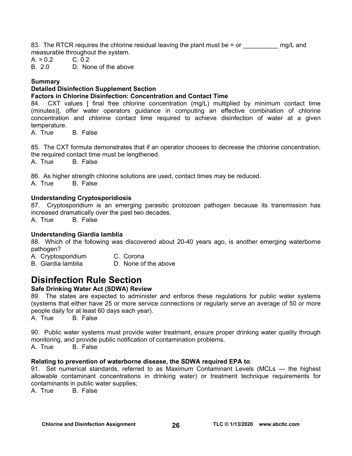83. The RTCR requires the chlorine residual leaving the plant must be = or \_\_\_\_\_\_\_\_\_\_\_\_ mg/L and measurable throughout the system.

A. > 0.2 C. 0.2<br>B. 2.0 D. No

D. None of the above

### **Summary**

#### **Detailed Disinfection Supplement Section**

#### **Factors in Chlorine Disinfection: Concentration and Contact Time**

84. CXT values [ final free chlorine concentration (mg/L) multiplied by minimum contact time (minutes)], offer water operators guidance in computing an effective combination of chlorine concentration and chlorine contact time required to achieve disinfection of water at a given temperature.

A. True B. False

85. The CXT formula demonstrates that if an operator chooses to decrease the chlorine concentration, the required contact time must be lengthened.

A. True B. False

86. As higher strength chlorine solutions are used, contact times may be reduced.

A. True B. False

#### **Understanding Cryptosporidiosis**

87. Cryptosporidium is an emerging parasitic protozoan pathogen because its transmission has increased dramatically over the past two decades.

A. True B. False

#### **Understanding Giardia lamblia**

88. Which of the following was discovered about 20-40 years ago, is another emerging waterborne pathogen?

A. Cryptosporidium C. Corona

B. Giardia lamblia **D.** None of the above

# **Disinfection Rule Section**

#### **Safe Drinking Water Act (SDWA) Review**

89. The states are expected to administer and enforce these regulations for public water systems (systems that either have 25 or more service connections or regularly serve an average of 50 or more people daily for at least 60 days each year).

A. True B. False

90. Public water systems must provide water treatment, ensure proper drinking water quality through monitoring, and provide public notification of contamination problems.

A. True B. False

#### **Relating to prevention of waterborne disease, the SDWA required EPA to**:

91. Set numerical standards, referred to as Maximum Contaminant Levels (MCLs — the highest allowable contaminant concentrations in drinking water) or treatment technique requirements for contaminants in public water supplies;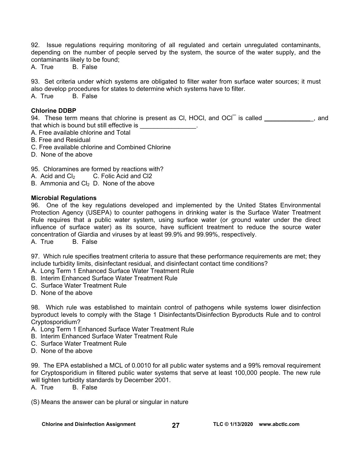92. Issue regulations requiring monitoring of all regulated and certain unregulated contaminants, depending on the number of people served by the system, the source of the water supply, and the contaminants likely to be found;

A. True B. False

93. Set criteria under which systems are obligated to filter water from surface water sources; it must also develop procedures for states to determine which systems have to filter.

A. True B. False

#### **Chlorine DDBP**

94. These term means that chlorine is present as CI, HOCI, and  $OCI<sup>-</sup>$  is called  $\blacksquare$ that which is bound but still effective is  $\qquad \qquad$ .

- A. Free available chlorine and Total
- B. Free and Residual
- C. Free available chlorine and Combined Chlorine
- D. None of the above

95. Chloramines are formed by reactions with?

- A. Acid and  $Cl<sub>2</sub>$  C. Folic Acid and Cl2
- B. Ammonia and  $Cl<sub>2</sub>$  D. None of the above

#### **Microbial Regulations**

96. One of the key regulations developed and implemented by the United States Environmental Protection Agency (USEPA) to counter pathogens in drinking water is the Surface Water Treatment Rule requires that a public water system, using surface water (or ground water under the direct influence of surface water) as its source, have sufficient treatment to reduce the source water concentration of Giardia and viruses by at least 99.9% and 99.99%, respectively.

A. True B. False

97. Which rule specifies treatment criteria to assure that these performance requirements are met; they include turbidity limits, disinfectant residual, and disinfectant contact time conditions?

- A. Long Term 1 Enhanced Surface Water Treatment Rule
- B. Interim Enhanced Surface Water Treatment Rule
- C. Surface Water Treatment Rule
- D. None of the above

98. Which rule was established to maintain control of pathogens while systems lower disinfection byproduct levels to comply with the Stage 1 Disinfectants/Disinfection Byproducts Rule and to control Cryptosporidium?

- A. Long Term 1 Enhanced Surface Water Treatment Rule
- B. Interim Enhanced Surface Water Treatment Rule
- C. Surface Water Treatment Rule
- D. None of the above

99. The EPA established a MCL of 0.0010 for all public water systems and a 99% removal requirement for Cryptosporidium in filtered public water systems that serve at least 100,000 people. The new rule will tighten turbidity standards by December 2001.<br>A. True B. False

B. False

(S) Means the answer can be plural or singular in nature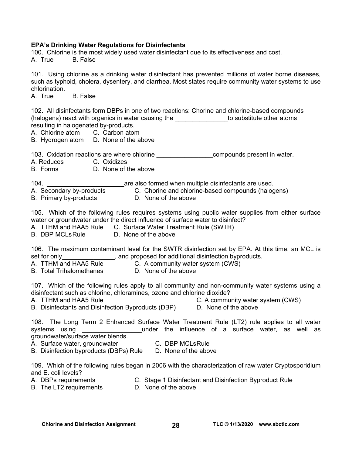#### **EPA's Drinking Water Regulations for Disinfectants**

100. Chlorine is the most widely used water disinfectant due to its effectiveness and cost. A. True B. False

101. Using chlorine as a drinking water disinfectant has prevented millions of water borne diseases, such as typhoid, cholera, dysentery, and diarrhea. Most states require community water systems to use chlorination.

A. True B. False

102. All disinfectants form DBPs in one of two reactions: Chorine and chlorine-based compounds (halogens) react with organics in water causing the \_\_\_\_\_\_\_\_\_\_\_\_\_\_\_to substitute other atoms resulting in halogenated by-products.

- A. Chlorine atom C. Carbon atom
- B. Hydrogen atom D. None of the above

103. Oxidation reactions are where chlorine \_\_\_\_\_\_\_\_\_\_\_\_\_\_\_\_\_\_\_compounds present in water.

A. Reduces C. Oxidizes

B. Forms D. None of the above

104. \_\_\_\_\_\_\_\_\_\_\_\_\_\_\_\_\_\_\_\_\_\_are also formed when multiple disinfectants are used.

- A. Secondary by-products C. Chorine and chlorine-based compounds (halogens)
	- B. Primary by-products D. None of the above
- 

105. Which of the following rules requires systems using public water supplies from either surface water or groundwater under the direct influence of surface water to disinfect?

A. TTHM and HAA5 Rule C. Surface Water Treatment Rule (SWTR)

B. DBP MCLs Rule D. None of the above

106. The maximum contaminant level for the SWTR disinfection set by EPA. At this time, an MCL is set for only\_\_\_\_\_\_\_\_\_\_\_\_\_\_\_, and proposed for additional disinfection byproducts.

- A. TTHM and HAA5 Rule C. A community water system (CWS)
- B. Total Trihalomethanes **D. None of the above**

107. Which of the following rules apply to all community and non-community water systems using a disinfectant such as chlorine, chloramines, ozone and chlorine dioxide?

- A. TTHM and HAA5 Rule **C. A community water system (CWS)**
- B. Disinfectants and Disinfection Byproducts (DBP) D. None of the above

108. The Long Term 2 Enhanced Surface Water Treatment Rule (LT2) rule applies to all water systems using the under the influence of a surface water, as well as groundwater/surface water blends.

- A. Surface water, groundwater C. DBP MCLs Rule
	-
- B. Disinfection byproducts (DBPs) Rule D. None of the above

109. Which of the following rules began in 2006 with the characterization of raw water Cryptosporidium and E. coli levels?

- A. DBPs requirements C. Stage 1 Disinfectant and Disinfection Byproduct Rule
- B. The LT2 requirements D. None of the above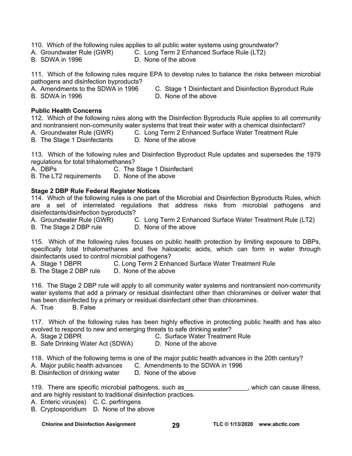110. Which of the following rules applies to all public water systems using groundwater?

- A. Groundwater Rule (GWR) C. Long Term 2 Enhanced Surface Rule (LT2)
- B. SDWA in 1996 D. None of the above

111. Which of the following rules require EPA to develop rules to balance the risks between microbial pathogens and disinfection byproducts?

- 
- A. Amendments to the SDWA in 1996 C. Stage 1 Disinfectant and Disinfection Byproduct Rule
- B. SDWA in 1996 **D. None of the above**

#### **Public Health Concerns**

112. Which of the following rules along with the Disinfection Byproducts Rule applies to all community and nontransient non-community water systems that treat their water with a chemical disinfectant?

- A. Groundwater Rule (GWR) C. Long Term 2 Enhanced Surface Water Treatment Rule
- B. The Stage 1 Disinfectants D. None of the above

113. Which of the following rules and Disinfection Byproduct Rule updates and supersedes the 1979 regulations for total trihalomethanes?

A. DBPs C. The Stage 1 Disinfectant

B. The LT2 requirements D. None of the above

#### **Stage 2 DBP Rule Federal Register Notices**

114. Which of the following rules is one part of the Microbial and Disinfection Byproducts Rules, which are a set of interrelated regulations that address risks from microbial pathogens and disinfectants/disinfection byproducts?

A. Groundwater Rule (GWR) C. Long Term 2 Enhanced Surface Water Treatment Rule (LT2)

B. The Stage 2 DBP rule D. None of the above

115. Which of the following rules focuses on public health protection by limiting exposure to DBPs, specifically total trihalomethanes and five haloacetic acids, which can form in water through disinfectants used to control microbial pathogens?

A. Stage 1 DBPR C. Long Term 2 Enhanced Surface Water Treatment Rule

B. The Stage 2 DBP rule D. None of the above

116. The Stage 2 DBP rule will apply to all community water systems and nontransient non-community water systems that add a primary or residual disinfectant other than chloramines or deliver water that has been disinfected by a primary or residual disinfectant other than chloramines.

A. True B. False

117. Which of the following rules has been highly effective in protecting public health and has also evolved to respond to new and emerging threats to safe drinking water?

- 
- A. Stage 2 DBPR C. Surface Water Treatment Rule
- B. Safe Drinking Water Act (SDWA) D. None of the above
	-

118. Which of the following terms is one of the major public health advances in the 20th century?

- A. Major public health advances C. Amendments to the SDWA in 1996
- B. Disinfection of drinking water D. None of the above

119. There are specific microbial pathogens, such as each measure illness, which can cause illness, and are highly resistant to traditional disinfection practices.

- A. Enteric virus(es) C. C. perfringens
- B. Cryptosporidium D. None of the above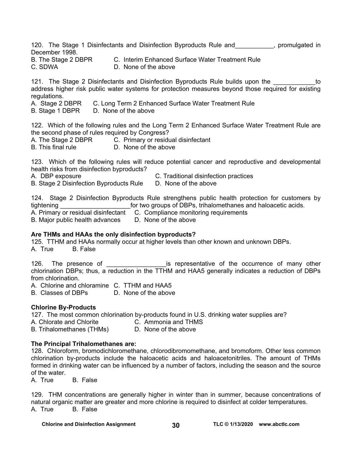120. The Stage 1 Disinfectants and Disinfection Byproducts Rule and \_\_\_\_\_\_\_\_\_, promulgated in December 1998.

- B. The Stage 2 DBPR C. Interim Enhanced Surface Water Treatment Rule
- C. SDWA D. None of the above

121. The Stage 2 Disinfectants and Disinfection Byproducts Rule builds upon the  $\sim$ address higher risk public water systems for protection measures beyond those required for existing regulations.

A. Stage 2 DBPR C. Long Term 2 Enhanced Surface Water Treatment Rule

B. Stage 1 DBPR D. None of the above

122. Which of the following rules and the Long Term 2 Enhanced Surface Water Treatment Rule are the second phase of rules required by Congress?

- A. The Stage 2 DBPR C. Primary or residual disinfectant
- B. This final rule **D.** None of the above

123. Which of the following rules will reduce potential cancer and reproductive and developmental health risks from disinfection byproducts?

A. DBP exposure C. Traditional disinfection practices

B. Stage 2 Disinfection Byproducts Rule D. None of the above

124. Stage 2 Disinfection Byproducts Rule strengthens public health protection for customers by tightening **the contract of the state of the contract of DBPs**, trihalomethanes and haloacetic acids.

A. Primary or residual disinfectant C. Compliance monitoring requirements

B. Major public health advances D. None of the above

#### **Are THMs and HAAs the only disinfection byproducts?**

125. TTHM and HAAs normally occur at higher levels than other known and unknown DBPs. A. True B. False

126. The presence of **Exercise 20** is representative of the occurrence of many other chlorination DBPs; thus, a reduction in the TTHM and HAA5 generally indicates a reduction of DBPs from chlorination.

A. Chlorine and chloramine C. TTHM and HAA5

B. Classes of DBPs D. None of the above

#### **Chlorine By-Products**

127. The most common chlorination by-products found in U.S. drinking water supplies are?

- A. Chlorate and Chlorite C. Ammonia and THMS
- B. Trihalomethanes (THMs) D. None of the above

### **The Principal Trihalomethanes are:**

128. Chloroform, bromodichloromethane, chlorodibromomethane, and bromoform. Other less common chlorination by-products include the haloacetic acids and haloacetonitriles. The amount of THMs formed in drinking water can be influenced by a number of factors, including the season and the source of the water.<br>A True

**B.** False

129. THM concentrations are generally higher in winter than in summer, because concentrations of natural organic matter are greater and more chlorine is required to disinfect at colder temperatures. A. True B. False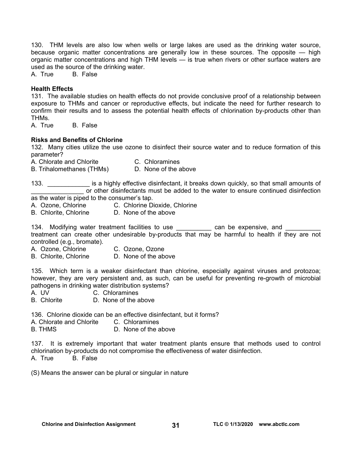130. THM levels are also low when wells or large lakes are used as the drinking water source, because organic matter concentrations are generally low in these sources. The opposite — high organic matter concentrations and high THM levels — is true when rivers or other surface waters are used as the source of the drinking water.

A. True B. False

#### **Health Effects**

131. The available studies on health effects do not provide conclusive proof of a relationship between exposure to THMs and cancer or reproductive effects, but indicate the need for further research to confirm their results and to assess the potential health effects of chlorination by-products other than THMs.

A. True B. False

#### **Risks and Benefits of Chlorine**

132. Many cities utilize the use ozone to disinfect their source water and to reduce formation of this parameter?

- A. Chlorate and Chlorite **C.** Chloramines
- B. Trihalomethanes (THMs) D. None of the above

133. \_\_\_\_\_\_\_\_\_\_\_\_ is a highly effective disinfectant, it breaks down quickly, so that small amounts of or other disinfectants must be added to the water to ensure continued disinfection as the water is piped to the consumer's tap.

- A. Ozone, Chlorine C. Chlorine Dioxide, Chlorine
- B. Chlorite, Chlorine D. None of the above

134. Modifying water treatment facilities to use \_\_\_\_\_\_\_\_\_\_\_ can be expensive, and \_\_\_\_ treatment can create other undesirable by-products that may be harmful to health if they are not controlled (e.g., bromate).

- A. Ozone, Chlorine C. Ozone, Ozone
- B. Chlorite, Chlorine D. None of the above

135. Which term is a weaker disinfectant than chlorine, especially against viruses and protozoa; however, they are very persistent and, as such, can be useful for preventing re-growth of microbial pathogens in drinking water distribution systems?<br>A. UV C. Chloramines

- C. Chloramines
- B. Chlorite D. None of the above

136. Chlorine dioxide can be an effective disinfectant, but it forms?

- A. Chlorate and Chlorite C. Chloramines
- B. THMS D. None of the above

137. It is extremely important that water treatment plants ensure that methods used to control chlorination by-products do not compromise the effectiveness of water disinfection.

A. True B. False

(S) Means the answer can be plural or singular in nature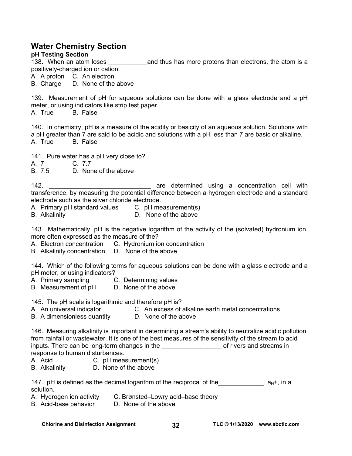## **Water Chemistry Section**

#### **pH Testing Section**

138. When an atom loses Theorem and thus has more protons than electrons, the atom is a positively-charged ion or cation.

A. A proton C. An electron

B. Charge D. None of the above

139. Measurement of pH for aqueous solutions can be done with a glass electrode and a pH meter, or using indicators like strip test paper.

A. True B. False

140. In chemistry, pH is a measure of the acidity or basicity of an aqueous solution. Solutions with a pH greater than 7 are said to be acidic and solutions with a pH less than 7 are basic or alkaline. A. True B. False

141. Pure water has a pH very close to?

A. 7 C. 7.7

B. 7.5 D. None of the above

142. \_\_\_\_\_\_\_\_\_\_\_\_\_\_\_\_\_\_\_\_\_\_\_\_\_\_\_\_\_\_\_\_\_ are determined using a concentration cell with transference, by measuring the potential difference between a hydrogen electrode and a standard electrode such as the silver chloride electrode.

A. Primary pH standard values C. pH measurement(s)

B. Alkalinity D. None of the above

143. Mathematically, pH is the negative logarithm of the activity of the (solvated) hydronium ion, more often expressed as the measure of the?

A. Electron concentration C. Hydronium ion concentration

B. Alkalinity concentration D. None of the above

144. Which of the following terms for aqueous solutions can be done with a glass electrode and a pH meter, or using indicators?

- A. Primary sampling C. Determining values
- B. Measurement of pH D. None of the above

145. The pH scale is logarithmic and therefore pH is?

A. An universal indicator C. An excess of alkaline earth metal concentrations

B. A dimensionless quantityD. None of the above

146. Measuring alkalinity is important in determining a stream's ability to neutralize acidic pollution from rainfall or wastewater. It is one of the best measures of the sensitivity of the stream to acid inputs. There can be long-term changes in the **with the contract of rivers and streams in** response to human disturbances.

- A. Acid C. pH measurement(s)
- B. Alkalinity D. None of the above

147. pH is defined as the decimal logarithm of the reciprocal of the  $\qquad \qquad$ ,  $a_H$ +, in a solution.

- A. Hydrogen ion activity C. Brønsted–Lowry acid–base theory
- B. Acid-base behavior D. None of the above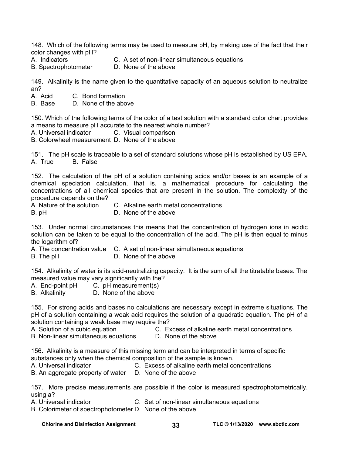148. Which of the following terms may be used to measure pH, by making use of the fact that their color changes with pH?

- A. Indicators C. A set of non-linear simultaneous equations
- B. SpectrophotometerD. None of the above

149. Alkalinity is the name given to the quantitative capacity of an aqueous solution to neutralize an?

A. Acid C. Bond formation

B. Base D. None of the above

150. Which of the following terms of the color of a test solution with a standard color chart provides a means to measure pH accurate to the nearest whole number?

A. Universal indicator C. Visual comparison

B. Colorwheel measurement D. None of the above

151. The pH scale is traceable to a set of standard solutions whose pH is established by US EPA. A. True B. False

152. The calculation of the pH of a solution containing acids and/or bases is an example of a chemical speciation calculation, that is, a mathematical procedure for calculating the concentrations of all chemical species that are present in the solution. The complexity of the procedure depends on the?

A. Nature of the solution C. Alkaline earth metal concentrations B. pHD. None of the above

153. Under normal circumstances this means that the concentration of hydrogen ions in acidic solution can be taken to be equal to the concentration of the acid. The pH is then equal to minus the logarithm of?

A. The concentration value C. A set of non-linear simultaneous equations

B. The pH **D. None of the above** 

154. Alkalinity of water is its acid-neutralizing capacity. It is the sum of all the titratable bases. The measured value may vary significantly with the?

A. End-point pH C. pH measurement(s)

B. Alkalinity D. None of the above

155. For strong acids and bases no calculations are necessary except in extreme situations. The pH of a solution containing a weak acid requires the solution of a quadratic equation. The pH of a solution containing a weak base may require the?

A. Solution of a cubic equation C. Excess of alkaline earth metal concentrations

B. Non-linear simultaneous equations D. None of the above

156. Alkalinity is a measure of this missing term and can be interpreted in terms of specific substances only when the chemical composition of the sample is known.

A. Universal indicator C. Excess of alkaline earth metal concentrations

B. An aggregate property of water D. None of the above

157. More precise measurements are possible if the color is measured spectrophotometrically, using a?

A. Universal indicator C. Set of non-linear simultaneous equations

B. Colorimeter of spectrophotometer D. None of the above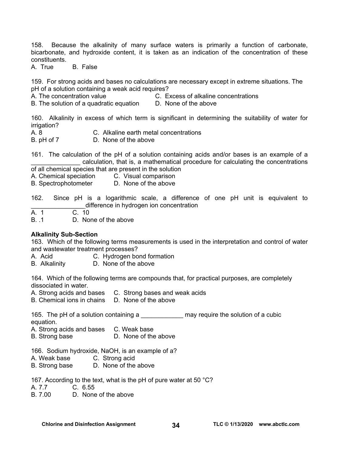158. Because the alkalinity of many surface waters is primarily a function of carbonate, bicarbonate, and hydroxide content, it is taken as an indication of the concentration of these constituents.<br>A. True

**B.** False

159. For strong acids and bases no calculations are necessary except in extreme situations. The pH of a solution containing a weak acid requires?

A. The concentration value C. Excess of alkaline concentrations

B. The solution of a quadratic equation D. None of the above

160. Alkalinity in excess of which term is significant in determining the suitability of water for irrigation?

A. 8 C. Alkaline earth metal concentrations

B. pH of 7D. None of the above

161. The calculation of the pH of a solution containing acids and/or bases is an example of a calculation, that is, a mathematical procedure for calculating the concentrations

- of all chemical species that are present in the solution
- A. Chemical speciation C. Visual comparison
- B. Spectrophotometer D. None of the above
- 162. Since pH is a logarithmic scale, a difference of one pH unit is equivalent to difference in hydrogen ion concentration<br>C. 10
- A. 1
- B. 1 D. None of the above

#### **Alkalinity Sub-Section**

163. Which of the following terms measurements is used in the interpretation and control of water and wastewater treatment processes?

- A. Acid C. Hydrogen bond formation
- B. Alkalinity D. None of the above

164. Which of the following terms are compounds that, for practical purposes, are completely dissociated in water.

- A. Strong acids and bases C. Strong bases and weak acids
- B. Chemical ions in chains D. None of the above

165. The pH of a solution containing a \_\_\_\_\_\_\_\_\_\_\_\_ may require the solution of a cubic equation.

A. Strong acids and bases C. Weak base

B. Strong base D. None of the above

166. Sodium hydroxide, NaOH, is an example of a?

- A. Weak base C. Strong acid
- B. Strong base D. None of the above

#### 167. According to the text, what is the pH of pure water at 50 °C?

- A. 7.7 C. 6.55
- B. 7.00 D. None of the above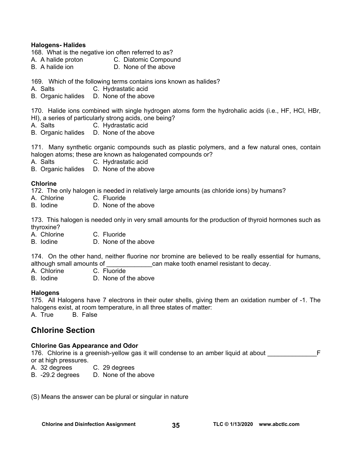#### **Halogens- Halides**

168. What is the negative ion often referred to as?

- A. A halide proton C. Diatomic Compound
- B. A halide ion **D. None of the above**

169. Which of the following terms contains ions known as halides?

- A. Salts C. Hydrastatic acid
- B. Organic halides D. None of the above

170. Halide ions combined with single hydrogen atoms form the hydrohalic acids (i.e., HF, HCl, HBr, HI), a series of particularly strong acids, one being?

- A. Salts C. Hydrastatic acid
- B. Organic halides D. None of the above

171. Many synthetic organic compounds such as plastic polymers, and a few natural ones, contain halogen atoms; these are known as halogenated compounds or?

A. Salts C. Hydrastatic acid

B. Organic halides D. None of the above

#### **Chlorine**

172. The only halogen is needed in relatively large amounts (as chloride ions) by humans?

- A. Chlorine C. Fluoride
- B. Iodine D. None of the above

173. This halogen is needed only in very small amounts for the production of thyroid hormones such as thyroxine?

- A. Chlorine C. Fluoride
- B. Iodine D. None of the above

174. On the other hand, neither fluorine nor bromine are believed to be really essential for humans, although small amounts of  $\Box$  can make tooth enamel resistant to decay.

- A. Chlorine C. Fluoride
- B. Iodine D. None of the above

#### **Halogens**

175. All Halogens have 7 electrons in their outer shells, giving them an oxidation number of -1. The halogens exist, at room temperature, in all three states of matter: A. True B. False

### **Chlorine Section**

#### **Chlorine Gas Appearance and Odor**

176. Chlorine is a greenish-yellow gas it will condense to an amber liquid at about F or at high pressures.

A. 32 degrees C. 29 degrees

B. -29.2 degrees D. None of the above

(S) Means the answer can be plural or singular in nature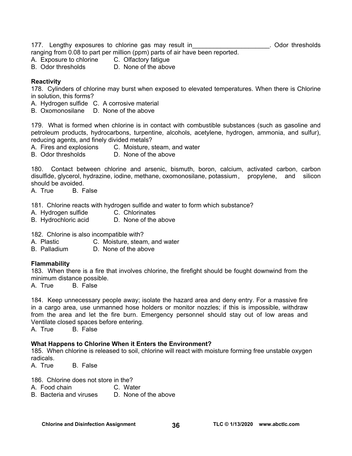177. Lengthy exposures to chlorine gas may result in **177.** Lengthy exposures to chlorine gas may result in ranging from 0.08 to part per million (ppm) parts of air have been reported.

- A. Exposure to chlorine C. Olfactory fatigue
- B. Odor thresholds D. None of the above

#### **Reactivity**

178. Cylinders of chlorine may burst when exposed to elevated temperatures. When there is Chlorine in solution, this forms?

A. Hydrogen sulfide C. A corrosive material

B. Oxomonosilane D. None of the above

179. What is formed when chlorine is in contact with combustible substances (such as gasoline and petroleum products, hydrocarbons, turpentine, alcohols, acetylene, hydrogen, ammonia, and sulfur), reducing agents, and finely divided metals?

A. Fires and explosions C. Moisture, steam, and water

B. Odor thresholds D. None of the above

180. Contact between chlorine and arsenic, bismuth, boron, calcium, activated carbon, carbon disulfide, glycerol, hydrazine, iodine, methane, oxomonosilane, potassium , propylene, and silicon should be avoided.

A. True B. False

181. Chlorine reacts with hydrogen sulfide and water to form which substance?

- A. Hydrogen sulfide C. Chlorinates
- B. Hydrochloric acid D. None of the above

182. Chlorine is also incompatible with?

A. Plastic C. Moisture, steam, and water

B. Palladium D. None of the above

#### **Flammability**

183. When there is a fire that involves chlorine, the firefight should be fought downwind from the minimum distance possible.

A. True B. False

184. Keep unnecessary people away; isolate the hazard area and deny entry. For a massive fire in a cargo area, use unmanned hose holders or monitor nozzles; if this is impossible, withdraw from the area and let the fire burn. Emergency personnel should stay out of low areas and Ventilate closed spaces before entering.

A. True B. False

#### **What Happens to Chlorine When it Enters the Environment?**

185. When chlorine is released to soil, chlorine will react with moisture forming free unstable oxygen radicals.

A. True B. False

186. Chlorine does not store in the?

A. Food chain C. Water

B. Bacteria and viruses D. None of the above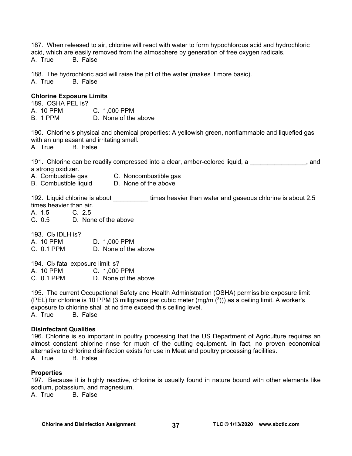187. When released to air, chlorine will react with water to form hypochlorous acid and hydrochloric acid, which are easily removed from the atmosphere by generation of free oxygen radicals. A. True B. False

188. The hydrochloric acid will raise the pH of the water (makes it more basic). A. True B. False

#### **Chlorine Exposure Limits**

189. OSHA PEL is? A. 10 PPM C. 1,000 PPM B. 1 PPM D. None of the above

190. Chlorine's physical and chemical properties: A yellowish green, nonflammable and liquefied gas with an unpleasant and irritating smell.

A. True B. False

191. Chlorine can be readily compressed into a clear, amber-colored liquid, a  $\qquad \qquad$ , and a strong oxidizer.

A. Combustible gas C. Noncombustible gas

B. Combustible liquid D. None of the above

192. Liquid chlorine is about **times heavier than water and gaseous chlorine is about 2.5** times heavier than air.

A. 1.5 C. 2.5

C. 0.5 D. None of the above

193.  $Cl<sub>2</sub>$  IDLH is?

A. 10 PPM D. 1,000 PPM C. 0.1 PPM D. None of the above

194.  $Cl<sub>2</sub>$  fatal exposure limit is?

A. 10 PPM C. 1,000 PPM

C. 0.1 PPM D. None of the above

195. The current Occupational Safety and Health Administration (OSHA) permissible exposure limit (PEL) for chlorine is 10 PPM (3 milligrams per cubic meter  $(mg/m<sup>(3)</sup>)$ ) as a ceiling limit. A worker's exposure to chlorine shall at no time exceed this ceiling level. A. True B. False

#### **Disinfectant Qualities**

196. Chlorine is so important in poultry processing that the US Department of Agriculture requires an almost constant chlorine rinse for much of the cutting equipment. In fact, no proven economical alternative to chlorine disinfection exists for use in Meat and poultry processing facilities. A. True B. False

#### **Properties**

197. Because it is highly reactive, chlorine is usually found in nature bound with other elements like sodium, potassium, and magnesium.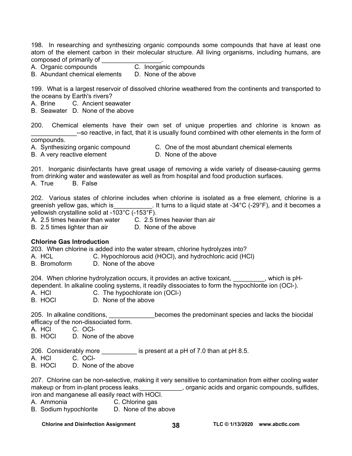198. In researching and synthesizing organic compounds some compounds that have at least one atom of the element carbon in their molecular structure. All living organisms, including humans, are composed of primarily of

- A. Organic compounds<br>
B. Abundant chemical elements 
D. None of the above
- B. Abundant chemical elements

199. What is a largest reservoir of dissolved chlorine weathered from the continents and transported to the oceans by Earth's rivers?

A. Brine C. Ancient seawater

B. Seawater D. None of the above

200. Chemical elements have their own set of unique properties and chlorine is known as --so reactive, in fact, that it is usually found combined with other elements in the form of

compounds.

B. A very reactive element D. None of the above

A. Synthesizing organic compound C. One of the most abundant chemical elements

201. Inorganic disinfectants have great usage of removing a wide variety of disease-causing germs from drinking water and wastewater as well as from hospital and food production surfaces. A. True B. False

202. Various states of chlorine includes when chlorine is isolated as a free element, chlorine is a greenish yellow gas, which is \_\_\_\_\_\_\_\_\_\_\_\_. It turns to a liquid state at -34°C (-29°F), and it becomes a yellowish crystalline solid at -103°C (-153°F).

A. 2.5 times heavier than water C. 2.5 times heavier than air

B. 2.5 times lighter than air **D. None of the above** 

#### **Chlorine Gas Introduction**

203. When chlorine is added into the water stream, chlorine hydrolyzes into?

- A. HCL C. Hypochlorous acid (HOCl), and hydrochloric acid (HCl)
- B. Bromoform D. None of the above

204. When chlorine hydrolyzation occurs, it provides an active toxicant, entity which is pHdependent. In alkaline cooling systems, it readily dissociates to form the hypochlorite ion (OCl-).

A. HCl C. The hypochlorate ion (OCl-)

B. HOCl D. None of the above

205. In alkaline conditions, \_\_\_\_\_\_\_\_\_\_\_\_\_becomes the predominant species and lacks the biocidal efficacy of the non-dissociated form.

A. HCl C. OCl-

B. HOCl D. None of the above

206. Considerably more \_\_\_\_\_\_\_\_\_\_\_ is present at a pH of 7.0 than at pH 8.5.

- A. HCl C. OCl-
- B. HOCl D. None of the above

207. Chlorine can be non-selective, making it very sensitive to contamination from either cooling water makeup or from in-plant process leaks.\_\_\_\_\_\_\_\_\_\_\_\_, organic acids and organic compounds, sulfides, iron and manganese all easily react with HOCl.

- A. Ammonia C. Chlorine gas
- B. Sodium hypochlorite D. None of the above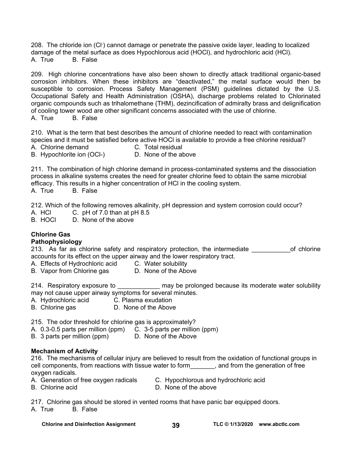208. The chloride ion (Cl- ) cannot damage or penetrate the passive oxide layer, leading to localized damage of the metal surface as does Hypochlorous acid (HOCl), and hydrochloric acid (HCl). A. True B. False

209. High chlorine concentrations have also been shown to directly attack traditional organic-based corrosion inhibitors. When these inhibitors are "deactivated," the metal surface would then be susceptible to corrosion. Process Safety Management (PSM) guidelines dictated by the U.S. Occupational Safety and Health Administration (OSHA), discharge problems related to Chlorinated organic compounds such as trihalomethane (THM), dezincification of admiralty brass and delignification of cooling tower wood are other significant concerns associated with the use of chlorine.

A. True B. False

210. What is the term that best describes the amount of chlorine needed to react with contamination species and it must be satisfied before active HOCl is available to provide a free chlorine residual?

A. Chlorine demand C. Total residual

B. Hypochlorite ion (OCI-) D. None of the above

211. The combination of high chlorine demand in process-contaminated systems and the dissociation process in alkaline systems creates the need for greater chlorine feed to obtain the same microbial efficacy. This results in a higher concentration of HCl in the cooling system.

A. True B. False

212. Which of the following removes alkalinity, pH depression and system corrosion could occur?

A. HCl C. pH of 7.0 than at pH 8.5

B. HOCl D. None of the above

### **Chlorine Gas**

### **Pathophysiology**

213. As far as chlorine safety and respiratory protection, the intermediate \_\_\_\_\_\_\_\_\_\_\_\_\_of chlorine accounts for its effect on the upper airway and the lower respiratory tract.

A. Effects of Hydrochloric acid C. Water solubility<br>B. Vanor from Chlorine gas D. None of the Above

B. Vapor from Chlorine gas

214. Respiratory exposure to \_\_\_\_\_\_\_\_\_\_\_\_ may be prolonged because its moderate water solubility may not cause upper airway symptoms for several minutes.

- A. Hydrochloric acid C. Plasma exudation
- B. Chlorine gas **D. None of the Above**

215. The odor threshold for chlorine gas is approximately?

- A. 0.3-0.5 parts per million (ppm) C. 3-5 parts per million (ppm)
- B. 3 parts per million (ppm) D. None of the Above

### **Mechanism of Activity**

216. The mechanisms of cellular injury are believed to result from the oxidation of functional groups in cell components, from reactions with tissue water to form\_\_\_\_\_\_, and from the generation of free oxygen radicals.

- 
- 
- A. Generation of free oxygen radicals C. Hypochlorous and hydrochloric acid
	-
- B. Chlorine acid D. None of the above

217. Chlorine gas should be stored in vented rooms that have panic bar equipped doors.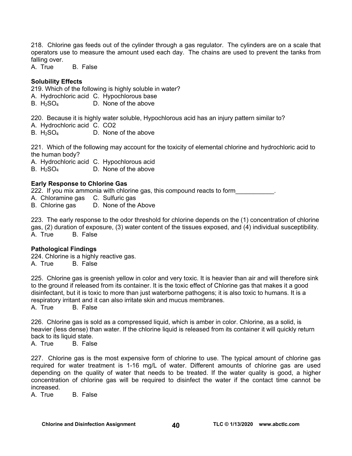218. Chlorine gas feeds out of the cylinder through a gas regulator. The cylinders are on a scale that operators use to measure the amount used each day. The chains are used to prevent the tanks from falling over.

A. True B. False

#### **Solubility Effects**

219. Which of the following is highly soluble in water?

A. Hydrochloric acid C. Hypochlorous base

B.  $H_2SO_4$  D. None of the above

220. Because it is highly water soluble, Hypochlorous acid has an injury pattern similar to?

- A. Hydrochloric acid C. CO2
- $B. H<sub>2</sub>SO<sub>4</sub>$  D. None of the above

221. Which of the following may account for the toxicity of elemental chlorine and hydrochloric acid to the human body?

A. Hydrochloric acid C. Hypochlorous acid

B.  $H_2SO_4$  D. None of the above

#### **Early Response to Chlorine Gas**

222. If you mix ammonia with chlorine gas, this compound reacts to form\_\_\_\_\_\_\_\_\_\_\_.

- A. Chloramine gas C. Sulfuric gas
- B. Chlorine gas D. None of the Above

223. The early response to the odor threshold for chlorine depends on the (1) concentration of chlorine gas, (2) duration of exposure, (3) water content of the tissues exposed, and (4) individual susceptibility. A. True B. False

#### **Pathological Findings**

224. Chlorine is a highly reactive gas. A. True B. False

225. Chlorine gas is greenish yellow in color and very toxic. It is heavier than air and will therefore sink to the ground if released from its container. It is the toxic effect of Chlorine gas that makes it a good disinfectant, but it is toxic to more than just waterborne pathogens; it is also toxic to humans. It is a respiratory irritant and it can also irritate skin and mucus membranes.

A. True B. False

226. Chlorine gas is sold as a compressed liquid, which is amber in color. Chlorine, as a solid, is heavier (less dense) than water. If the chlorine liquid is released from its container it will quickly return back to its liquid state.

A. True B. False

227. Chlorine gas is the most expensive form of chlorine to use. The typical amount of chlorine gas required for water treatment is 1-16 mg/L of water. Different amounts of chlorine gas are used depending on the quality of water that needs to be treated. If the water quality is good, a higher concentration of chlorine gas will be required to disinfect the water if the contact time cannot be increased.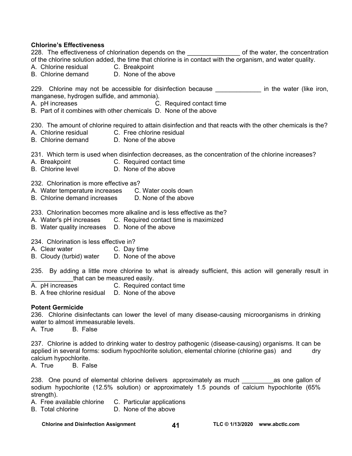#### **Chlorine's Effectiveness**

228. The effectiveness of chlorination depends on the **concentration** of the water, the concentration of the chlorine solution added, the time that chlorine is in contact with the organism, and water quality.

- 
- A. Chlorine residual C. Breakpoint<br>B. Chlorine demand D. None of the above B. Chlorine demand

229. Chlorine may not be accessible for disinfection because **the intimate in the water (like iron**, manganese, hydrogen sulfide, and ammonia).

- A. pH increases **C. Required contact time**
- B. Part of it combines with other chemicals D. None of the above

230. The amount of chlorine required to attain disinfection and that reacts with the other chemicals is the?

- A. Chlorine residual C. Free chlorine residual
- B. Chlorine demand D. None of the above

231. Which term is used when disinfection decreases, as the concentration of the chlorine increases?

- 
- A. Breakpoint C. Required contact time B. Chlorine level **D.** None of the above

232. Chlorination is more effective as?

- A. Water temperature increases C. Water cools down
- B. Chlorine demand increases D. None of the above

233. Chlorination becomes more alkaline and is less effective as the?

- A. Water's pH increases C. Required contact time is maximized
- B. Water quality increases D. None of the above

234. Chlorination is less effective in?

- A. Clear water C. Day time
- B. Cloudy (turbid) water D. None of the above

235. By adding a little more chlorine to what is already sufficient, this action will generally result in that can be measured easily.

- A. pH increases C. Required contact time
- B. A free chlorine residual D. None of the above

#### **Potent Germicide**

236. Chlorine disinfectants can lower the level of many disease-causing microorganisms in drinking water to almost immeasurable levels.

A. True B. False

237. Chlorine is added to drinking water to destroy pathogenic (disease-causing) organisms. It can be applied in several forms: sodium hypochlorite solution, elemental chlorine (chlorine gas) and dry calcium hypochlorite.

A. True B. False

238. One pound of elemental chlorine delivers approximately as much examples as one gallon of sodium hypochlorite (12.5% solution) or approximately 1.5 pounds of calcium hypochlorite (65% strength).

- A. Free available chlorine C. Particular applications
- B. Total chlorine D. None of the above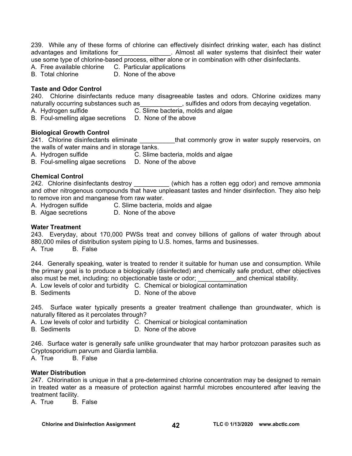239. While any of these forms of chlorine can effectively disinfect drinking water, each has distinct advantages and limitations for **EXAL ALM** all water systems that disinfect their water use some type of chlorine-based process, either alone or in combination with other disinfectants.

- A. Free available chlorine C. Particular applications<br>B. Total chlorine D. None of the above
- D. None of the above

#### **Taste and Odor Control**

240. Chlorine disinfectants reduce many disagreeable tastes and odors. Chlorine oxidizes many naturally occurring substances such as \_\_\_\_\_\_\_\_\_\_\_\_\_, sulfides and odors from decaying vegetation.

- A. Hydrogen sulfide C. Slime bacteria, molds and algae
- B. Foul-smelling algae secretions D. None of the above

#### **Biological Growth Control**

241. Chlorine disinfectants eliminate **that commonly grow in water supply reservoirs**, on the walls of water mains and in storage tanks.

- A. Hydrogen sulfide C. Slime bacteria, molds and algae
- B. Foul-smelling algae secretions D. None of the above

#### **Chemical Control**

242. Chlorine disinfectants destroy **the set and the set of the set of the set and remove ammonia** and other nitrogenous compounds that have unpleasant tastes and hinder disinfection. They also help to remove iron and manganese from raw water.

- A. Hydrogen sulfide C. Slime bacteria, molds and algae
- B. Algae secretions D. None of the above

#### **Water Treatment**

243. Everyday, about 170,000 PWSs treat and convey billions of gallons of water through about 880,000 miles of distribution system piping to U.S. homes, farms and businesses. A. True B. False

244. Generally speaking, water is treated to render it suitable for human use and consumption. While the primary goal is to produce a biologically (disinfected) and chemically safe product, other objectives also must be met, including: no objectionable taste or odor; \_\_\_\_\_\_\_\_\_\_\_\_\_\_\_\_\_\_\_and chemical stability.

A. Low levels of color and turbidity C. Chemical or biological contamination<br>B. Sediments D. None of the above

D. None of the above

245. Surface water typically presents a greater treatment challenge than groundwater, which is naturally filtered as it percolates through?

- A. Low levels of color and turbidity C. Chemical or biological contamination
- B. Sediments **D. None of the above**

246. Surface water is generally safe unlike groundwater that may harbor protozoan parasites such as Cryptosporidium parvum and Giardia lamblia.

A. True B. False

#### **Water Distribution**

247. Chlorination is unique in that a pre-determined chlorine concentration may be designed to remain in treated water as a measure of protection against harmful microbes encountered after leaving the treatment facility.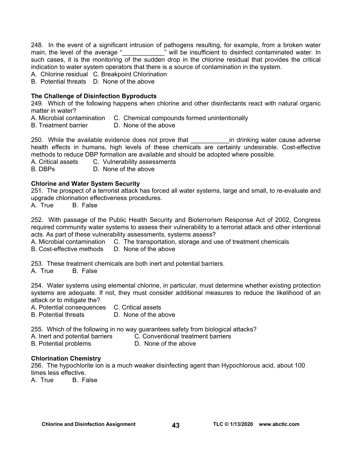248. In the event of a significant intrusion of pathogens resulting, for example, from a broken water main, the level of the average "<br>will be insufficient to disinfect contaminated water. In  $\cdot$ " will be insufficient to disinfect contaminated water. In such cases, it is the monitoring of the sudden drop in the chlorine residual that provides the critical indication to water system operators that there is a source of contamination in the system.

A. Chlorine residual C. Breakpoint Chlorination

B. Potential threats D. None of the above

#### **The Challenge of Disinfection Byproducts**

249. Which of the following happens when chlorine and other disinfectants react with natural organic matter in water?

A. Microbial contamination C. Chemical compounds formed unintentionally

B. Treatment barrier D. None of the above

250. While the available evidence does not prove that \_\_\_\_\_\_\_\_\_\_\_\_\_in drinking water cause adverse health effects in humans, high levels of these chemicals are certainly undesirable. Cost-effective methods to reduce DBP formation are available and should be adopted where possible.

A. Critical assets C. Vulnerability assessments

B. DBPs D. None of the above

#### **Chlorine and Water System Security**

251. The prospect of a terrorist attack has forced all water systems, large and small, to re-evaluate and upgrade chlorination effectiveness procedures.

A. True B. False

252. With passage of the Public Health Security and Bioterrorism Response Act of 2002, Congress required community water systems to assess their vulnerability to a terrorist attack and other intentional acts. As part of these vulnerability assessments, systems assess?

A. Microbial contamination C. The transportation, storage and use of treatment chemicals

B. Cost-effective methods D. None of the above

253. These treatment chemicals are both inert and potential barriers.

A. True B. False

254. Water systems using elemental chlorine, in particular, must determine whether existing protection systems are adequate. If not, they must consider additional measures to reduce the likelihood of an attack or to mitigate the?

A. Potential consequences C. Critical assets

B. Potential threats D. None of the above

255. Which of the following in no way guarantees safety from biological attacks?

A. Inert and potential barriers C. Conventional treatment barriers

B. Potential problems D. None of the above

#### **Chlorination Chemistry**

256. The hypochlorite ion is a much weaker disinfecting agent than Hypochlorous acid, about 100 times less effective.<br>A True B Fa

**B.** False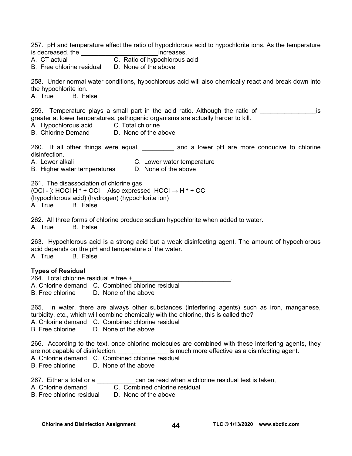257. pH and temperature affect the ratio of hypochlorous acid to hypochlorite ions. As the temperature is decreased, the \_\_\_\_\_\_\_\_\_\_\_\_\_\_\_\_\_\_\_\_\_\_\_\_\_\_\_\_\_\_\_increases. A. CT actual C. Ratio of hypochlorous acid B. Free chlorine residual D. None of the above 258. Under normal water conditions, hypochlorous acid will also chemically react and break down into the hypochlorite ion. A. True B. False 259. Temperature plays a small part in the acid ratio. Although the ratio of \_\_\_\_\_\_\_\_\_\_\_\_\_\_\_\_\_\_\_\_\_\_\_ is greater at lower temperatures, pathogenic organisms are actually harder to kill. A. Hypochlorous acid C. Total chlorine B. Chlorine Demand D. None of the above 260. If all other things were equal, \_\_\_\_\_\_\_\_\_ and a lower pH are more conducive to chlorine disinfection. A. Lower alkali C. Lower water temperature B. Higher water temperatures D. None of the above 261. The disassociation of chlorine gas (OCI - ): HOCI H + + OCI - Also expressed HOCI  $\rightarrow$  H + + OCI -(hypochlorous acid) (hydrogen) (hypochlorite ion) A. True B. False 262. All three forms of chlorine produce sodium hypochlorite when added to water. A. True B. False 263. Hypochlorous acid is a strong acid but a weak disinfecting agent. The amount of hypochlorous acid depends on the pH and temperature of the water. A. True B. False **Types of Residual**  264. Total chlorine residual = free  $+$ 

A. Chlorine demand C. Combined chlorine residual

B. Free chlorine D. None of the above

265. In water, there are always other substances (interfering agents) such as iron, manganese, turbidity, etc., which will combine chemically with the chlorine, this is called the?

A. Chlorine demand C. Combined chlorine residual

B. Free chlorine D. None of the above

266. According to the text, once chlorine molecules are combined with these interfering agents, they are not capable of disinfection. \_\_\_\_\_\_\_\_\_\_\_\_\_\_\_\_\_\_\_\_ is much more effective as a disinfecting agent.

- A. Chlorine demand C. Combined chlorine residual
- B. Free chlorine D. None of the above

267. Either a total or a can be read when a chlorine residual test is taken,

- A. Chlorine demand C. Combined chlorine residual
- B. Free chlorine residual D. None of the above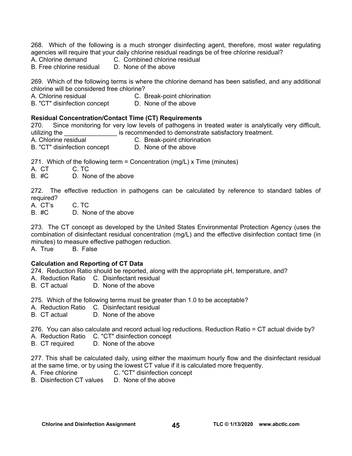268. Which of the following is a much stronger disinfecting agent, therefore, most water regulating agencies will require that your daily chlorine residual readings be of free chlorine residual?

B. Free chlorine residual

A. Chlorine demand C. Combined chlorine residual<br>B. Free chlorine residual D. None of the above

269. Which of the following terms is where the chlorine demand has been satisfied, and any additional chlorine will be considered free chlorine?

A. Chlorine residual C. Break-point chlorination

B. "CT" disinfection concept D. None of the above

### **Residual Concentration/Contact Time (CT) Requirements**

270. Since monitoring for very low levels of pathogens in treated water is analytically very difficult, utilizing the \_\_\_\_\_\_\_\_\_\_\_\_\_\_\_\_\_\_\_\_ is recommended to demonstrate satisfactory treatment.

- A. Chlorine residual C. Break-point chlorination
- B. "CT" disinfection concept D. None of the above

271. Which of the following term = Concentration  $(mg/L)$  x Time (minutes)

- A. CT C. TC<br>B. #C D. No
- D. None of the above

272. The effective reduction in pathogens can be calculated by reference to standard tables of required?

A. CT's C. TC

B. #C D. None of the above

273. The CT concept as developed by the United States Environmental Protection Agency (uses the combination of disinfectant residual concentration (mg/L) and the effective disinfection contact time (in minutes) to measure effective pathogen reduction.

A. True B. False

#### **Calculation and Reporting of CT Data**

274. Reduction Ratio should be reported, along with the appropriate pH, temperature, and?

- A. Reduction Ratio C. Disinfectant residual
- B. CT actual D. None of the above

275. Which of the following terms must be greater than 1.0 to be acceptable?

- A. Reduction Ratio C. Disinfectant residual
- B. CT actual D. None of the above

276. You can also calculate and record actual log reductions. Reduction Ratio = CT actual divide by?

- A. Reduction Ratio C. "CT" disinfection concept
- B. CT required D. None of the above

277. This shall be calculated daily, using either the maximum hourly flow and the disinfectant residual at the same time, or by using the lowest CT value if it is calculated more frequently.

- A. Free chlorine **C.** "CT" disinfection concept<br>B. Disinfection CT values D. None of the above
- B. Disinfection CT values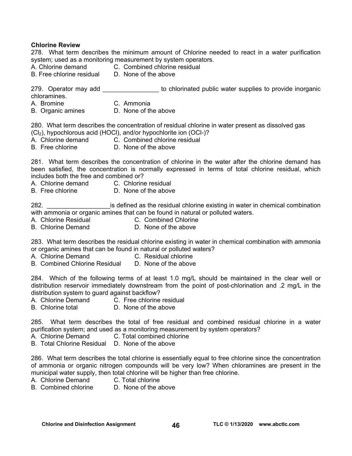#### **Chlorine Review**

278. What term describes the minimum amount of Chlorine needed to react in a water purification system; used as a monitoring measurement by system operators.

- A. Chlorine demand C. Combined chlorine residual<br>B. Free chlorine residual D. None of the above
- B. Free chlorine residual
- 

279. Operator may add **the supplies of the chlorinated public water supplies to provide inorganic** chloramines.

- 
- A. Bromine C. Ammonia
- 
- B. Organic amines **D. None of the above**

280. What term describes the concentration of residual chlorine in water present as dissolved gas (Cl<sub>2</sub>), hypochlorous acid (HOCl), and/or hypochlorite ion (OCl-)?

- A. Chlorine demand C. Combined chlorine residual
- B. Free chlorine D. None of the above

281. What term describes the concentration of chlorine in the water after the chlorine demand has been satisfied, the concentration is normally expressed in terms of total chlorine residual, which includes both the free and combined or?

- A. Chlorine demand C. Chlorine residual
	-
- B. Free chlorine D. None of the above

282. **Example 282. Example 282. Example 282. Example 282. Example 282. Example 282.** with ammonia or organic amines that can be found in natural or polluted waters.

- A. Chlorine Residual C. Combined Chlorine
- B. Chlorine Demand D. None of the above

283. What term describes the residual chlorine existing in water in chemical combination with ammonia or organic amines that can be found in natural or polluted waters?

- A. Chlorine Demand C. Residual chlorine
- B. Combined Chlorine Residual D. None of the above

284. Which of the following terms of at least 1.0 mg/L should be maintained in the clear well or distribution reservoir immediately downstream from the point of post-chlorination and .2 mg/L in the distribution system to guard against backflow?

- A. Chlorine Demand C. Free chlorine residual
- B. Chlorine total D. None of the above

285. What term describes the total of free residual and combined residual chlorine in a water purification system; and used as a monitoring measurement by system operators?

- A. Chlorine Demand C. Total combined chlorine
- B. Total Chlorine Residual D. None of the above

286. What term describes the total chlorine is essentially equal to free chlorine since the concentration of ammonia or organic nitrogen compounds will be very low? When chloramines are present in the municipal water supply, then total chlorine will be higher than free chlorine.

- A. Chlorine Demand C. Total chlorine<br>B. Combined chlorine D. None of the above
- B. Combined chlorine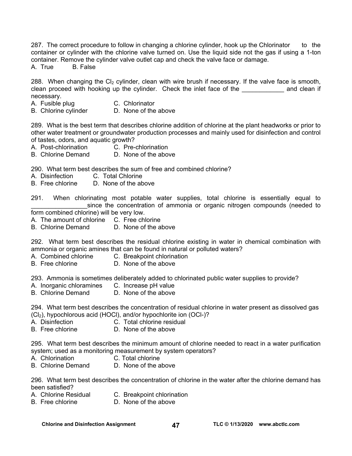287. The correct procedure to follow in changing a chlorine cylinder, hook up the Chlorinator to the container or cylinder with the chlorine valve turned on. Use the liquid side not the gas if using a 1-ton container. Remove the cylinder valve outlet cap and check the valve face or damage.

A. True B. False

288. When changing the Cl<sub>2</sub> cylinder, clean with wire brush if necessary. If the valve face is smooth, clean proceed with hooking up the cylinder. Check the inlet face of the and clean if necessary.

- A. Fusible plug C. Chlorinator
	-
- B. Chlorine cylinder D. None of the above

289. What is the best term that describes chlorine addition of chlorine at the plant headworks or prior to other water treatment or groundwater production processes and mainly used for disinfection and control of tastes, odors, and aquatic growth?

- A. Post-chlorination C. Pre-chlorination
- B. Chlorine Demand D. None of the above

290. What term best describes the sum of free and combined chlorine?

- A. Disinfection C. Total Chlorine
- B. Free chlorine D. None of the above

291. When chlorinating most potable water supplies, total chlorine is essentially equal to since the concentration of ammonia or organic nitrogen compounds (needed to form combined chlorine) will be very low.

- A. The amount of chlorine C. Free chlorine
- B. Chlorine Demand D. None of the above

292. What term best describes the residual chlorine existing in water in chemical combination with ammonia or organic amines that can be found in natural or polluted waters?

- A. Combined chlorine C. Breakpoint chlorination
- B. Free chlorine D. None of the above

293. Ammonia is sometimes deliberately added to chlorinated public water supplies to provide?

- A. Inorganic chloramines C. Increase pH value<br>B. Chlorine Demand D. None of the above
- D. None of the above

294. What term best describes the concentration of residual chlorine in water present as dissolved gas  $(Cl<sub>2</sub>)$ , hypochlorous acid (HOCI), and/or hypochlorite ion  $(OCl<sub>-</sub>)$ ?

- A. Disinfection C. Total chlorine residual
- B. Free chlorine D. None of the above

295. What term best describes the minimum amount of chlorine needed to react in a water purification system; used as a monitoring measurement by system operators?

- A. Chlorination C. Total chlorine
- B. Chlorine Demand D. None of the above

296. What term best describes the concentration of chlorine in the water after the chlorine demand has been satisfied?

- 
- A. Chlorine Residual C. Breakpoint chlorination
- B. Free chlorine D. None of the above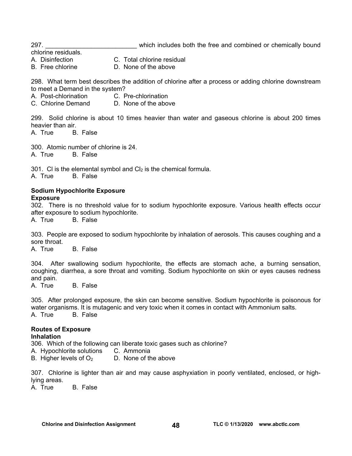297. **Example 2014** 297.

chlorine residuals.

- A. Disinfection C. Total chlorine residual
- B. Free chlorine **D.** None of the above

298. What term best describes the addition of chlorine after a process or adding chlorine downstream to meet a Demand in the system?

- A. Post-chlorination C. Pre-chlorination
- C. Chlorine Demand D. None of the above

299. Solid chlorine is about 10 times heavier than water and gaseous chlorine is about 200 times heavier than air.

A. True B. False

300. Atomic number of chlorine is 24.

A. True B. False

301. CI is the elemental symbol and  $Cl<sub>2</sub>$  is the chemical formula.

A. True B. False

### **Sodium Hypochlorite Exposure**

#### **Exposure**

302. There is no threshold value for to sodium hypochlorite exposure. Various health effects occur after exposure to sodium hypochlorite.

A. True B. False

303. People are exposed to sodium hypochlorite by inhalation of aerosols. This causes coughing and a sore throat.

A. True B. False

304. After swallowing sodium hypochlorite, the effects are stomach ache, a burning sensation, coughing, diarrhea, a sore throat and vomiting. Sodium hypochlorite on skin or eyes causes redness and pain.<br>A. True

**B.** False

305. After prolonged exposure, the skin can become sensitive. Sodium hypochlorite is poisonous for water organisms. It is mutagenic and very toxic when it comes in contact with Ammonium salts. A. True B. False

# **Routes of Exposure**

**Inhalation** 

306. Which of the following can liberate toxic gases such as chlorine?

A. Hypochlorite solutions C. Ammonia

B. Higher levels of  $O<sub>2</sub>$  D. None of the above

307. Chlorine is lighter than air and may cause asphyxiation in poorly ventilated, enclosed, or highlying areas.<br>A. True

B. False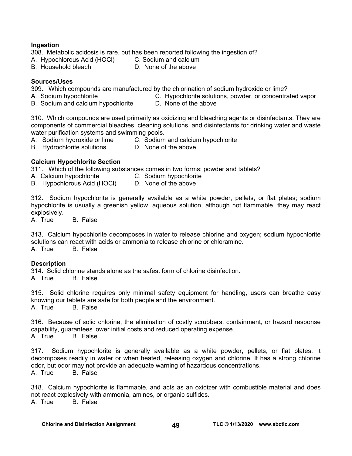#### **Ingestion**

308. Metabolic acidosis is rare, but has been reported following the ingestion of?

- A. Hypochlorous Acid (HOCI) C. Sodium and calcium<br>B. Household bleach C. None of the above B. Household bleach
	-

### **Sources/Uses**

309. Which compounds are manufactured by the chlorination of sodium hydroxide or lime?

- A. Sodium hypochlorite C. Hypochlorite solutions, powder, or concentrated vapor
- B. Sodium and calcium hypochlorite D. None of the above
- 

310. Which compounds are used primarily as oxidizing and bleaching agents or disinfectants. They are components of commercial bleaches, cleaning solutions, and disinfectants for drinking water and waste water purification systems and swimming pools.

- A. Sodium hydroxide or lime C. Sodium and calcium hypochlorite
- B. Hydrochlorite solutions **D. None of the above**
- 

### **Calcium Hypochlorite Section**

311.Which of the following substances comes in two forms: powder and tablets?

- A. Calcium hypochlorite C. Sodium hypochlorite
	-
- B. Hypochlorous Acid (HOCI) D. None of the above

312. Sodium hypochlorite is generally available as a white powder, pellets, or flat plates; sodium hypochlorite is usually a greenish yellow, aqueous solution, although not flammable, they may react explosively.

A. True B. False

313. Calcium hypochlorite decomposes in water to release chlorine and oxygen; sodium hypochlorite solutions can react with acids or ammonia to release chlorine or chloramine. A. True B. False

#### **Description**

314.Solid chlorine stands alone as the safest form of chlorine disinfection.

A. True B. False

315. Solid chlorine requires only minimal safety equipment for handling, users can breathe easy knowing our tablets are safe for both people and the environment.

A. True B. False

316. Because of solid chlorine, the elimination of costly scrubbers, containment, or hazard response capability, guarantees lower initial costs and reduced operating expense.

A. True B. False

317. Sodium hypochlorite is generally available as a white powder, pellets, or flat plates. It decomposes readily in water or when heated, releasing oxygen and chlorine. It has a strong chlorine odor, but odor may not provide an adequate warning of hazardous concentrations. A. True B. False

318. Calcium hypochlorite is flammable, and acts as an oxidizer with combustible material and does not react explosively with ammonia, amines, or organic sulfides.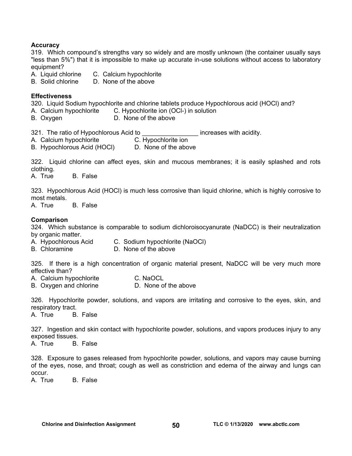#### **Accuracy**

319. Which compound's strengths vary so widely and are mostly unknown (the container usually says "less than 5%") that it is impossible to make up accurate in-use solutions without access to laboratory equipment?

A. Liquid chlorine C. Calcium hypochlorite

B. Solid chlorine D. None of the above

#### **Effectiveness**

320. Liquid Sodium hypochlorite and chlorine tablets produce Hypochlorous acid (HOCl) and? A. Calcium hypochlorite C. Hypochlorite ion (OCl-) in solution

B. Oxygen D. None of the above

321. The ratio of Hypochlorous Acid to **Example 2018** increases with acidity.

A. Calcium hypochlorite C. Hypochlorite ion

B. Hypochlorous Acid (HOCI) D. None of the above

322. Liquid chlorine can affect eyes, skin and mucous membranes; it is easily splashed and rots clothing.<br>A. True

**B.** False

323. Hypochlorous Acid (HOCl) is much less corrosive than liquid chlorine, which is highly corrosive to most metals.

A. True B. False

#### **Comparison**

324. Which substance is comparable to sodium dichloroisocyanurate (NaDCC) is their neutralization by organic matter.

- A. Hypochlorous Acid C. Sodium hypochlorite (NaOCl)
- B. Chloramine D. None of the above

325. If there is a high concentration of organic material present, NaDCC will be very much more effective than?

- A. Calcium hypochlorite **C. NaOCL**
- B. Oxygen and chlorine D. None of the above

326. Hypochlorite powder, solutions, and vapors are irritating and corrosive to the eyes, skin, and respiratory tract.

A. True B. False

327. Ingestion and skin contact with hypochlorite powder, solutions, and vapors produces injury to any exposed tissues.

A. True B. False

328. Exposure to gases released from hypochlorite powder, solutions, and vapors may cause burning of the eyes, nose, and throat; cough as well as constriction and edema of the airway and lungs can occur.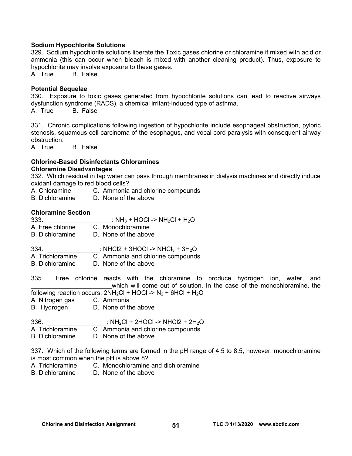#### **Sodium Hypochlorite Solutions**

329. Sodium hypochlorite solutions liberate the Toxic gases chlorine or chloramine if mixed with acid or ammonia (this can occur when bleach is mixed with another cleaning product). Thus, exposure to hypochlorite may involve exposure to these gases.

A. True B. False

#### **Potential Sequelae**

330.Exposure to toxic gases generated from hypochlorite solutions can lead to reactive airways dysfunction syndrome (RADS), a chemical irritant-induced type of asthma.

A. True B. False

331. Chronic complications following ingestion of hypochlorite include esophageal obstruction, pyloric stenosis, squamous cell carcinoma of the esophagus, and vocal cord paralysis with consequent airway obstruction.

A. True B. False

#### **Chlorine-Based Disinfectants Chloramines Chloramine Disadvantages**

332. Which residual in tap water can pass through membranes in dialysis machines and directly induce oxidant damage to red blood cells?

A. Chloramine C. Ammonia and chlorine compounds

B. Dichloramine D. None of the above

#### **Chloramine Section**

| 333.                   | : NH <sub>3</sub> + HOCl -> NH <sub>2</sub> Cl + H <sub>2</sub> O                                                                                            |
|------------------------|--------------------------------------------------------------------------------------------------------------------------------------------------------------|
| A. Free chlorine       | C. Monochloramine                                                                                                                                            |
| <b>B.</b> Dichloramine | D. None of the above                                                                                                                                         |
| 334.                   | : NHCl2 + 3HOCl -> NHCl <sub>3</sub> + 3H <sub>2</sub> O                                                                                                     |
| A. Trichloramine       | C. Ammonia and chlorine compounds                                                                                                                            |
| <b>B.</b> Dichloramine | D. None of the above                                                                                                                                         |
|                        | 335. Free chlorine reacts with the chloramine to produce hydrogen ion, water, and<br>which will come out of solution. In the case of the monochloramine, the |
|                        | following reaction occurs: $2NH_2Cl$ + HOCI -> N <sub>2</sub> + 6HCI + H <sub>2</sub> O                                                                      |
| A. Nitrogen gas        | C. Ammonia                                                                                                                                                   |
| B. Hydrogen            | D. None of the above                                                                                                                                         |
| 336.                   | $\cdot$ NH $_{2}$ Cl + 2HOCl -> NHCl2 + 2H $_{2}$ O                                                                                                          |
| A. Trichloramine       | C. Ammonia and chlorine compounds                                                                                                                            |
| <b>B.</b> Dichloramine | D. None of the above                                                                                                                                         |
|                        | 007 - Mbiele et the fellowing texpes are fermed in the plurease of 4 E to 0 E however menselementing                                                         |

337. Which of the following terms are formed in the pH range of 4.5 to 8.5, however, monochloramine is most common when the pH is above 8?

- A. Trichloramine C. Monochloramine and dichloramine
- B. Dichloramine D. None of the above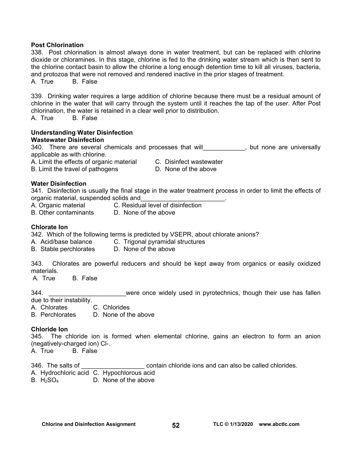#### **Post Chlorination**

338. Post chlorination is almost always done in water treatment, but can be replaced with chlorine dioxide or chloramines. In this stage, chlorine is fed to the drinking water stream which is then sent to the chlorine contact basin to allow the chlorine a long enough detention time to kill all viruses, bacteria, and protozoa that were not removed and rendered inactive in the prior stages of treatment.

A. True B. False

339. Drinking water requires a large addition of chlorine because there must be a residual amount of chlorine in the water that will carry through the system until it reaches the tap of the user. After Post chlorination, the water is retained in a clear well prior to distribution.

A. True B. False

#### **Understanding Water Disinfection Wastewater Disinfection**

340. There are several chemicals and processes that will\_\_\_\_\_\_\_\_\_\_\_\_, but none are universally applicable as with chlorine.

A. Limit the effects of organic material C. Disinfect wastewater

- 
- B. Limit the travel of pathogens D. None of the above
- 

#### **Water Disinfection**

341. Disinfection is usually the final stage in the water treatment process in order to limit the effects of organic material, suspended solids and\_\_\_\_\_\_\_\_\_\_\_\_\_\_\_\_\_\_\_\_\_\_\_\_.

- A. Organic material C. Residual level of disinfection
	-

B. Other contaminants D. None of the above

#### **Chlorate Ion**

342. Which of the following terms is predicted by VSEPR, about chlorate anions?

A. Acid/base balance C. Trigonal pyramidal structures

B. Stable perchlorates D. None of the above

343. Chlorates are powerful reducers and should be kept away from organics or easily oxidized materials.

A. True B. False

344. **Example 344.** Were once widely used in pyrotechnics, though their use has fallen

due to their instability. A. Chlorates C. Chlorides

B. Perchlorates D. None of the above

#### **Chloride Ion**

345. The chloride ion is formed when elemental chlorine, gains an electron to form an anion (negatively-charged ion) Cl-.

A. True B. False

346. The salts of **Exercise 20** contain chloride ions and can also be called chlorides.

A. Hydrochloric acid C. Hypochlorous acid

B.  $H_2SO_4$  D. None of the above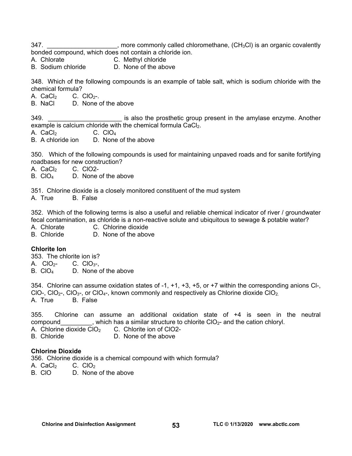$347.$  \_\_\_\_\_\_\_\_\_\_\_\_\_\_\_\_\_\_\_\_, more commonly called chloromethane,  $(CH_3Cl)$  is an organic covalently bonded compound, which does not contain a chloride ion.

- 
- A. Chlorate C. Methyl chloride<br>
B. Sodium chloride B. None of the abo D. None of the above

348. Which of the following compounds is an example of table salt, which is sodium chloride with the chemical formula?

A. CaCl<sub>2</sub> C. ClO<sub>2</sub>-.

B. NaCl D. None of the above

349. **Example 349. Example 20** is also the prosthetic group present in the amylase enzyme. Another example is calcium chloride with the chemical formula CaCl<sub>2</sub>.

A. CaCl<sub>2</sub> C. CIO<sub>4</sub>

B. A chloride ion D. None of the above

350. Which of the following compounds is used for maintaining unpaved roads and for sanite fortifying roadbases for new construction?

A. CaCl<sub>2</sub> C. CIO2-

 $B.$  CIO<sub>4</sub> D. None of the above

351. Chlorine dioxide is a closely monitored constituent of the mud system

A. True B. False

352. Which of the following terms is also a useful and reliable chemical indicator of river / groundwater fecal contamination, as chloride is a non-reactive solute and ubiquitous to sewage & potable water?

- A. Chlorate C. Chlorine dioxide
- B. Chloride D. None of the above

#### **Chlorite Ion**

353. The chlorite ion is?

A.  $CIO_{2}$ - C.  $CIO_{3}$ -,

 $B.$  CIO<sub>4</sub> D. None of the above

354. Chlorine can assume oxidation states of -1, +1, +3, +5, or +7 within the corresponding anions Cl-, CIO-, CIO<sub>2</sub>-, CIO<sub>3</sub>-, or CIO<sub>4</sub>-, known commonly and respectively as Chlorine dioxide CIO<sub>2</sub>. A. True B. False

355. Chlorine can assume an additional oxidation state of +4 is seen in the neutral compound  $\blacksquare$ , which has a similar structure to chlorite ClO<sub>2</sub>- and the cation chloryl.

A. Chlorine dioxide  $ClO<sub>2</sub>$  C. Chlorite ion of ClO2-

B. Chloride D. None of the above

### **Chlorine Dioxide**

356. Chlorine dioxide is a chemical compound with which formula?

A. CaCl<sub>2</sub> C. ClO<sub>2</sub>

B. ClO D. None of the above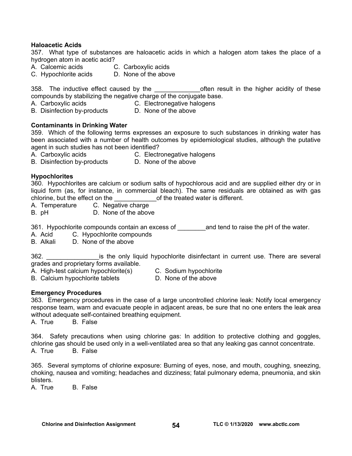#### **Haloacetic Acids**

357. What type of substances are haloacetic acids in which a halogen atom takes the place of a hydrogen atom in acetic acid?

- A. Calcemic acids C. Carboxylic acids
- C. Hypochlorite acids D. None of the above
	-

358. The inductive effect caused by the  $\qquad \qquad$  often result in the higher acidity of these compounds by stabilizing the negative charge of the conjugate base.

- A. Carboxylic acids **C. Electronegative halogens** 
	-
- B. Disinfection by-products D. None of the above

#### **Contaminants in Drinking Water**

359. Which of the following terms expresses an exposure to such substances in drinking water has been associated with a number of health outcomes by epidemiological studies, although the putative agent in such studies has not been identified?

- A. Carboxylic acids C. Electronegative halogens
- B. Disinfection by-products D. None of the above

#### **Hypochlorites**

360. Hypochlorites are calcium or sodium salts of hypochlorous acid and are supplied either dry or in liquid form (as, for instance, in commercial bleach). The same residuals are obtained as with gas chlorine, but the effect on the \_\_\_\_\_\_\_\_\_\_\_\_of the treated water is different.

- A. Temperature C. Negative charge
- B. pH D. None of the above

361. Hypochlorite compounds contain an excess of and tend to raise the pH of the water.

A. Acid C. Hypochlorite compounds

B. Alkali D. None of the above

362. \_\_\_\_\_\_\_\_\_\_\_\_\_\_\_is the only liquid hypochlorite disinfectant in current use. There are several grades and proprietary forms available.

- A. High-test calcium hypochlorite(s) C. Sodium hypochlorite
- B. Calcium hypochlorite tablets D. None of the above
- 

**Emergency Procedures** 

363. Emergency procedures in the case of a large uncontrolled chlorine leak: Notify local emergency response team, warn and evacuate people in adjacent areas, be sure that no one enters the leak area without adequate self-contained breathing equipment.

A. True B. False

364. Safety precautions when using chlorine gas: In addition to protective clothing and goggles, chlorine gas should be used only in a well-ventilated area so that any leaking gas cannot concentrate. A. True B. False

365. Several symptoms of chlorine exposure: Burning of eyes, nose, and mouth, coughing, sneezing, choking, nausea and vomiting; headaches and dizziness; fatal pulmonary edema, pneumonia, and skin blisters.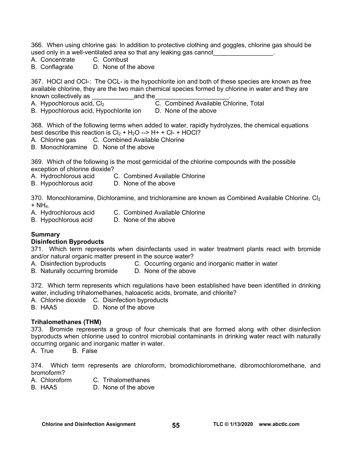366. When using chlorine gas: In addition to protective clothing and goggles, chlorine gas should be used only in a well-ventilated area so that any leaking gas cannot

- A. Concentrate C. Combust<br>B. Conflagrate D. None of t
- D. None of the above

367. HOCl and OCl-: The OCL- is the hypochlorite ion and both of these species are known as free available chlorine, they are the two main chemical species formed by chlorine in water and they are known collectively as **Example 2** and the

- A. Hypochlorous acid, Cl<sub>2</sub> C. Combined Available Chlorine, Total
	-
- B. Hypochlorous acid, Hypochlorite ion D. None of the above

368. Which of the following terms when added to water, rapidly hydrolyzes, the chemical equations best describe this reaction is  $Cl_2 + H_2O \rightarrow H^+ + Cl^- + HOCl$ ?

- A. Chlorine gas C. Combined Available Chlorine
- B. Monochloramine D. None of the above

369. Which of the following is the most germicidal of the chlorine compounds with the possible exception of chlorine dioxide?

- A. Hydrochlorous acid C. Combined Available Chlorine
- B. Hypochlorous acid D. None of the above
	-

370. Monochloramine, Dichloramine, and trichloramine are known as Combined Available Chlorine. Cl2  $+ NH<sub>4</sub>$ .

- A. Hydrochlorous acid C. Combined Available Chlorine
- B. Hypochlorous acid D. None of the above

#### **Summary**

### **Disinfection Byproducts**

371. Which term represents when disinfectants used in water treatment plants react with bromide and/or natural organic matter present in the source water?

- A. Disinfection byproducts **C. Occurring organic and inorganic matter in water**
- B. Naturally occurring bromide D. None of the above

372. Which term represents which regulations have been established have been identified in drinking water, including trihalomethanes, haloacetic acids, bromate, and chlorite?

A. Chlorine dioxide C. Disinfection byproducts

B. HAA5 D. None of the above

### **Trihalomethanes (THM)**

373. Bromide represents a group of four chemicals that are formed along with other disinfection byproducts when chlorine used to control microbial contaminants in drinking water react with naturally occurring organic and inorganic matter in water.

A. True B. False

374. Which term represents are chloroform, bromodichloromethane, dibromochloromethane, and bromoform?

- A. Chloroform C. Trihalomethanes
- B. HAA5 D. None of the above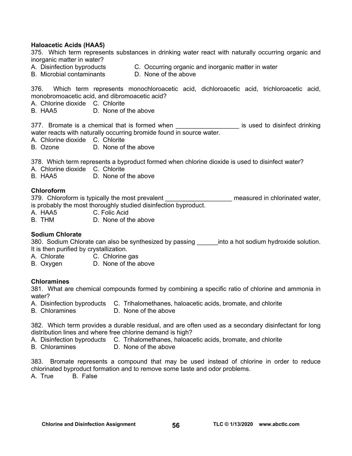#### **Haloacetic Acids (HAA5)**

375. Which term represents substances in drinking water react with naturally occurring organic and inorganic matter in water?<br>A. Disinfection byproducts

- B. Microbial contaminants
- C. Occurring organic and inorganic matter in water D. None of the above

376. Which term represents monochloroacetic acid, dichloroacetic acid, trichloroacetic acid, monobromoacetic acid, and dibromoacetic acid?

- A. Chlorine dioxide C. Chlorite
- B. HAA5 D. None of the above

377. Bromate is a chemical that is formed when **the interval is used to disinfect drinking** water reacts with naturally occurring bromide found in source water.

A. Chlorine dioxide C. Chlorite

B. Ozone D. None of the above

378. Which term represents a byproduct formed when chlorine dioxide is used to disinfect water?

A. Chlorine dioxide C. Chlorite<br>B. HAA5 D. None of

D. None of the above

#### **Chloroform**

379. Chloroform is typically the most prevalent \_\_\_\_\_\_\_\_\_\_\_\_\_\_\_\_\_\_\_\_\_\_\_ measured in chlorinated water, is probably the most thoroughly studied disinfection byproduct.

- A. HAA5 C. Folic Acid<br>B. THM D. None of th
- D. None of the above

#### **Sodium Chlorate**

380. Sodium Chlorate can also be synthesized by passing \_\_\_\_\_into a hot sodium hydroxide solution. It is then purified by crystallization.

- A. Chlorate C. Chlorine gas
- B. Oxygen D. None of the above

#### **Chloramines**

381. What are chemical compounds formed by combining a specific ratio of chlorine and ammonia in water?

- A. Disinfection byproducts C. Trihalomethanes, haloacetic acids, bromate, and chlorite
- B. Chloramines D. None of the above

382. Which term provides a durable residual, and are often used as a secondary disinfectant for long distribution lines and where free chlorine demand is high?

- A. Disinfection byproducts C. Trihalomethanes, haloacetic acids, bromate, and chlorite
- B. Chloramines D. None of the above

383. Bromate represents a compound that may be used instead of chlorine in order to reduce chlorinated byproduct formation and to remove some taste and odor problems.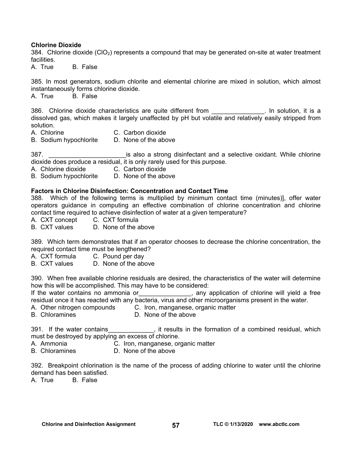#### **Chlorine Dioxide**

384. Chlorine dioxide  $(CIO<sub>2</sub>)$  represents a compound that may be generated on-site at water treatment facilities.<br>A. True

**B.** False

385. In most generators, sodium chlorite and elemental chlorine are mixed in solution, which almost instantaneously forms chlorine dioxide.

A. True B. False

386. Chlorine dioxide characteristics are quite different from \_\_\_\_\_\_\_\_\_\_\_\_\_\_\_. In solution, it is a dissolved gas, which makes it largely unaffected by pH but volatile and relatively easily stripped from solution.

- 
- A. Chlorine C. Carbon dioxide
- B. Sodium hypochlorite D. None of the above

387. \_\_\_\_\_\_\_\_\_\_\_\_\_\_\_\_\_\_\_\_\_\_is also a strong disinfectant and a selective oxidant. While chlorine dioxide does produce a residual, it is only rarely used for this purpose.

- A. Chlorine dioxide C. Carbon dioxide<br>
B. Sodium hypochlorite D. None of the above
- B. Sodium hypochlorite

#### **Factors in Chlorine Disinfection: Concentration and Contact Time**

388. Which of the following terms is multiplied by minimum contact time (minutes)], offer water operators guidance in computing an effective combination of chlorine concentration and chlorine contact time required to achieve disinfection of water at a given temperature?

- A. CXT concept C. CXT formula
- B. CXT values D. None of the above

389. Which term demonstrates that if an operator chooses to decrease the chlorine concentration, the required contact time must be lengthened?

- A. CXT formula C. Pound per day
- B. CXT values D. None of the above

390. When free available chlorine residuals are desired, the characteristics of the water will determine how this will be accomplished. This may have to be considered:

If the water contains no ammonia or<br>
<u>
</u>, any application of chlorine will yield a free residual once it has reacted with any bacteria, virus and other microorganisms present in the water.

- A. Other nitrogen compounds C. Iron, manganese, organic matter
- B. Chloramines **D.** None of the above
	-

391. If the water contains\_\_\_\_\_\_\_\_\_\_\_\_\_, it results in the formation of a combined residual, which must be destroyed by applying an excess of chlorine.

- A. Ammonia C. Iron, manganese, organic matter
- B. Chloramines D. None of the above

392. Breakpoint chlorination is the name of the process of adding chlorine to water until the chlorine demand has been satisfied.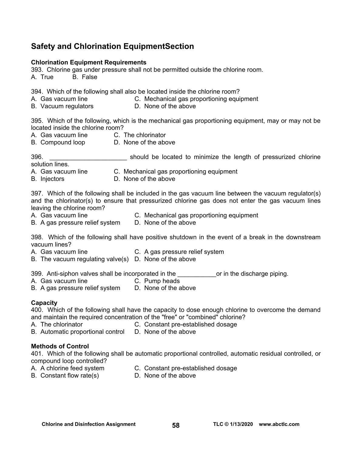# **Safety and Chlorination EquipmentSection**

#### **Chlorination Equipment Requirements**

393. Chlorine gas under pressure shall not be permitted outside the chlorine room.

A. True B. False

394. Which of the following shall also be located inside the chlorine room?

- A. Gas vacuum line C. Mechanical gas proportioning equipment
- B. Vacuum regulators D. None of the above

395. Which of the following, which is the mechanical gas proportioning equipment, may or may not be located inside the chlorine room?

- A. Gas vacuum line C. The chlorinator
- B. Compound loop D. None of the above

396. \_\_\_\_\_\_\_\_\_\_\_\_\_\_\_\_\_\_\_\_\_\_ should be located to minimize the length of pressurized chlorine solution lines. A. Gas vacuum line C. Mechanical gas proportioning equipment<br>B. Iniectors **C. None of the above** 

- 
- D. None of the above

397. Which of the following shall be included in the gas vacuum line between the vacuum regulator(s) and the chlorinator(s) to ensure that pressurized chlorine gas does not enter the gas vacuum lines leaving the chlorine room?

- A. Gas vacuum line C. Mechanical gas proportioning equipment
- B. A gas pressure relief system D. None of the above

398. Which of the following shall have positive shutdown in the event of a break in the downstream vacuum lines?

- A. Gas vacuum line C. A gas pressure relief system
- B. The vacuum regulating valve(s) D. None of the above

399. Anti-siphon valves shall be incorporated in the \_\_\_\_\_\_\_\_\_\_\_or in the discharge piping.

- A. Gas vacuum line C. Pump heads
- B. A gas pressure relief system D. None of the above

#### **Capacity**

400. Which of the following shall have the capacity to dose enough chlorine to overcome the demand and maintain the required concentration of the "free" or "combined" chlorine?

- A. The chlorinator **C.** Constant pre-established dosage
- B. Automatic proportional control D. None of the above

#### **Methods of Control**

401. Which of the following shall be automatic proportional controlled, automatic residual controlled, or compound loop controlled?

- A. A chlorine feed system C. Constant pre-established dosage
- B. Constant flow rate(s) D. None of the above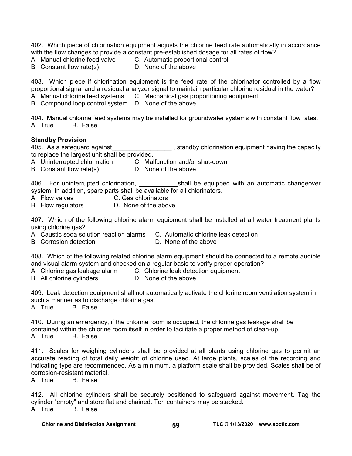402. Which piece of chlorination equipment adjusts the chlorine feed rate automatically in accordance with the flow changes to provide a constant pre-established dosage for all rates of flow?

- A. Manual chlorine feed valve C. Automatic proportional control
- B. Constant flow rate(s) D. None of the above

403. Which piece if chlorination equipment is the feed rate of the chlorinator controlled by a flow proportional signal and a residual analyzer signal to maintain particular chlorine residual in the water?

- A. Manual chlorine feed systems C. Mechanical gas proportioning equipment
- B. Compound loop control system D. None of the above

404. Manual chlorine feed systems may be installed for groundwater systems with constant flow rates. A. True B. False

#### **Standby Provision**

405. As a safeguard against\_\_\_\_\_\_\_\_\_\_\_\_\_\_\_\_\_\_\_\_, standby chlorination equipment having the capacity to replace the largest unit shall be provided.

- A. Uninterrupted chlorination C. Malfunction and/or shut-down
- B. Constant flow rate(s) D. None of the above

406. For uninterrupted chlorination, extending the equipped with an automatic changeover system. In addition, spare parts shall be available for all chlorinators.

- A. Flow valves C. Gas chlorinators
- B. Flow regulators D. None of the above

407. Which of the following chlorine alarm equipment shall be installed at all water treatment plants using chlorine gas?

- A. Caustic soda solution reaction alarms C. Automatic chlorine leak detection
- B. Corrosion detection **B.** D. None of the above
	-

408. Which of the following related chlorine alarm equipment should be connected to a remote audible and visual alarm system and checked on a regular basis to verify proper operation?

- A. Chlorine gas leakage alarm C. Chlorine leak detection equipment
- B. All chlorine cylinders **D.** None of the above

409. Leak detection equipment shall not automatically activate the chlorine room ventilation system in such a manner as to discharge chlorine gas.

A. True B. False

410. During an emergency, if the chlorine room is occupied, the chlorine gas leakage shall be contained within the chlorine room itself in order to facilitate a proper method of clean-up.

A. True B. False

411. Scales for weighing cylinders shall be provided at all plants using chlorine gas to permit an accurate reading of total daily weight of chlorine used. At large plants, scales of the recording and indicating type are recommended. As a minimum, a platform scale shall be provided. Scales shall be of corrosion-resistant material.<br>A True B False

**B.** False

412. All chlorine cylinders shall be securely positioned to safeguard against movement. Tag the cylinder "empty" and store flat and chained. Ton containers may be stacked. A. True B. False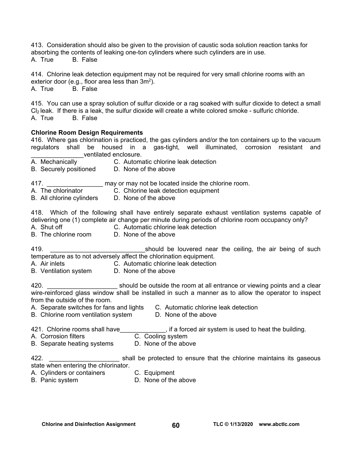413. Consideration should also be given to the provision of caustic soda solution reaction tanks for absorbing the contents of leaking one-ton cylinders where such cylinders are in use. A. True B. False

414. Chlorine leak detection equipment may not be required for very small chlorine rooms with an exterior door (e.g., floor area less than 3m<sup>2</sup>).

A. True B. False

415. You can use a spray solution of sulfur dioxide or a rag soaked with sulfur dioxide to detect a small  $Cl<sub>2</sub>$  leak. If there is a leak, the sulfur dioxide will create a white colored smoke - sulfuric chloride.<br>A True B False B. False

#### **Chlorine Room Design Requirements**

416. Where gas chlorination is practiced, the gas cylinders and/or the ton containers up to the vacuum regulators shall be housed in a gas-tight, well illuminated, corrosion resistant and \_\_\_\_\_\_\_\_\_\_\_\_\_\_\_ventilated enclosure.

- A. Mechanically C. Automatic chlorine leak detection
- B. Securely positioned D. None of the above

417. **Example 20 and 7 may or may not be located inside the chlorine room.** 

- A. The chlorinator C. Chlorine leak detection equipment
- B. All chlorine cylinders D. None of the above

418. Which of the following shall have entirely separate exhaust ventilation systems capable of delivering one (1) complete air change per minute during periods of chlorine room occupancy only?

A. Shut off **C.** Automatic chlorine leak detection<br>B. The chlorine room **D.** None of the above

B. The chlorine room

419. **A should be louvered near the ceiling, the air being of such and structure of such** temperature as to not adversely affect the chlorination equipment.

A. Air inlets C. Automatic chlorine leak detection

B. Ventilation system D. None of the above

420. \_\_\_\_\_\_\_\_\_\_\_\_\_\_\_\_\_\_\_\_ should be outside the room at all entrance or viewing points and a clear wire-reinforced glass window shall be installed in such a manner as to allow the operator to inspect from the outside of the room.

A. Separate switches for fans and lights C. Automatic chlorine leak detection

B. Chlorine room ventilation system D. None of the above

421. Chlorine rooms shall have  $\frac{1}{C}$ , if a forced air system is used to heat the building.<br>A. Corrosion filters  $\frac{1}{C}$ . Cooling system

- A. Corrosion filters C. Cooling system<br>
B. Separate heating systems D. None of the above
- B. Separate heating systems

422. **Example 20 and 122.** Also shall be protected to ensure that the chlorine maintains its gaseous state when entering the chlorinator.

A. Cylinders or containers C. Equipment<br>B. Panic system B. None of the

- 
- 
- D. None of the above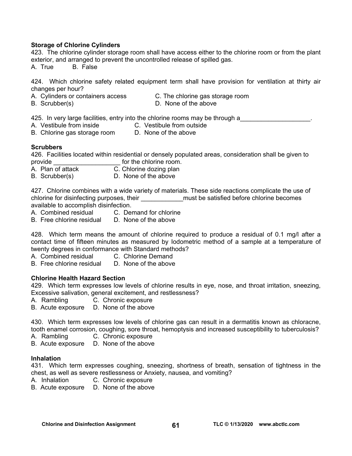#### **Storage of Chlorine Cylinders**

423. The chlorine cylinder storage room shall have access either to the chlorine room or from the plant exterior, and arranged to prevent the uncontrolled release of spilled gas.

A. True B. False

424. Which chlorine safety related equipment term shall have provision for ventilation at thirty air changes per hour?

- A. Cylinders or containers access C. The chlorine gas storage room
	-
- 
- B. Scrubber(s) D. None of the above

425. In very large facilities, entry into the chlorine rooms may be through a

- A. Vestibule from inside C. Vestibule from outside
	-
- B. Chlorine gas storage room D. None of the above

#### **Scrubbers**

426. Facilities located within residential or densely populated areas, consideration shall be given to provide \_\_\_\_\_\_\_\_\_\_\_\_\_\_\_\_\_\_\_ for the chlorine room.

- A. Plan of attack C. Chlorine dozing plan
- B. Scrubber(s) D. None of the above

427. Chlorine combines with a wide variety of materials. These side reactions complicate the use of chlorine for disinfecting purposes, their **notatable must be satisfied before chlorine becomes** available to accomplish disinfection.

- A. Combined residual C. Demand for chlorine
- B. Free chlorine residual D. None of the above

428. Which term means the amount of chlorine required to produce a residual of 0.1 mg/l after a contact time of fifteen minutes as measured by Iodometric method of a sample at a temperature of twenty degrees in conformance with Standard methods?

- A. Combined residual C. Chlorine Demand
- B. Free chlorine residual D. None of the above

#### **Chlorine Health Hazard Section**

429. Which term expresses low levels of chlorine results in eye, nose, and throat irritation, sneezing, Excessive salivation, general excitement, and restlessness?

- A. Rambling C. Chronic exposure
- B. Acute exposure D. None of the above

430. Which term expresses low levels of chlorine gas can result in a dermatitis known as chloracne, tooth enamel corrosion, coughing, sore throat, hemoptysis and increased susceptibility to tuberculosis?

- A. Rambling C. Chronic exposure
- B. Acute exposure D. None of the above

#### **Inhalation**

431. Which term expresses coughing, sneezing, shortness of breath, sensation of tightness in the chest, as well as severe restlessness or Anxiety, nausea, and vomiting?

- A. Inhalation C. Chronic exposure
- B. Acute exposure D. None of the above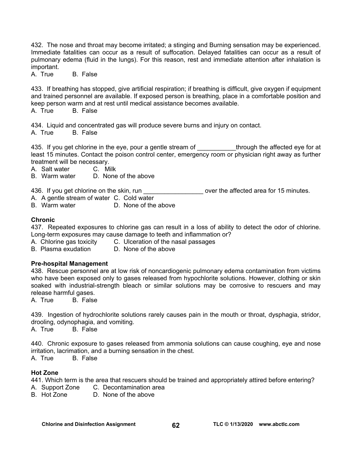432. The nose and throat may become irritated; a stinging and Burning sensation may be experienced. Immediate fatalities can occur as a result of suffocation. Delayed fatalities can occur as a result of pulmonary edema (fluid in the lungs). For this reason, rest and immediate attention after inhalation is important.<br>A. True

**B.** False

433. If breathing has stopped, give artificial respiration; if breathing is difficult, give oxygen if equipment and trained personnel are available. If exposed person is breathing, place in a comfortable position and keep person warm and at rest until medical assistance becomes available.

A. True B. False

434. Liquid and concentrated gas will produce severe burns and injury on contact.

A. True B. False

435. If you get chlorine in the eye, pour a gentle stream of through the affected eye for at least 15 minutes. Contact the poison control center, emergency room or physician right away as further treatment will be necessary.

A. Salt water C. Milk

B. Warm water D. None of the above

436. If you get chlorine on the skin, run \_\_\_\_\_\_\_\_\_\_\_\_\_\_\_\_\_\_\_\_\_ over the affected area for 15 minutes.

- A. A gentle stream of water C. Cold water
- B. Warm water D. None of the above

#### **Chronic**

437. Repeated exposures to chlorine gas can result in a loss of ability to detect the odor of chlorine. Long-term exposures may cause damage to teeth and inflammation or?

A. Chlorine gas toxicity C. Ulceration of the nasal passages

B. Plasma exudation D. None of the above

#### **Pre-hospital Management**

438.Rescue personnel are at low risk of noncardiogenic pulmonary edema contamination from victims who have been exposed only to gases released from hypochlorite solutions. However, clothing or skin soaked with industrial-strength bleach or similar solutions may be corrosive to rescuers and may release harmful gases.

A. True B. False

439. Ingestion of hydrochlorite solutions rarely causes pain in the mouth or throat, dysphagia, stridor, drooling, odynophagia, and vomiting.

A. True B. False

440. Chronic exposure to gases released from ammonia solutions can cause coughing, eye and nose irritation, lacrimation, and a burning sensation in the chest.

A. True B. False

#### **Hot Zone**

441. Which term is the area that rescuers should be trained and appropriately attired before entering?

- A. Support Zone C. Decontamination area
- B. Hot Zone D. None of the above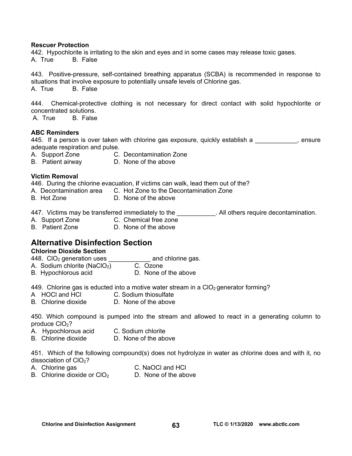#### **Rescuer Protection**

442.Hypochlorite is irritating to the skin and eyes and in some cases may release toxic gases. A. True B. False

443. Positive-pressure, self-contained breathing apparatus (SCBA) is recommended in response to situations that involve exposure to potentially unsafe levels of Chlorine gas. A. True B. False

444. Chemical-protective clothing is not necessary for direct contact with solid hypochlorite or concentrated solutions.

A. True B. False

#### **ABC Reminders**

445.If a person is over taken with chlorine gas exposure, quickly establish a \_\_\_\_\_\_\_\_\_\_\_\_, ensure adequate respiration and pulse.

- A. Support Zone C. Decontamination Zone
- 
- B. Patient airway **D. None of the above**

#### **Victim Removal**

446.During the chlorine evacuation, **i**f victims can walk, lead them out of the?

- A. Decontamination area C. Hot Zone to the Decontamination Zone
- B. Hot Zone D. None of the above

447. Victims may be transferred immediately to the \_\_\_\_\_\_\_\_\_\_\_\_. All others require decontamination.

- A. Support Zone C. Chemical free zone
- B. Patient Zone **D. None of the above**

### **Alternative Disinfection Section**

#### **Chlorine Dioxide Section**

448. ClO2 generation uses \_\_\_\_\_\_\_\_\_\_\_\_ and chlorine gas.

- A. Sodium chlorite (NaClO<sub>2</sub>)
- B. Hypochlorous acid **D.** None of the above

449. Chlorine gas is educted into a motive water stream in a  $ClO<sub>2</sub>$  generator forming?

- A HOCl and HCl C. Sodium thiosulfate
- B. Chlorine dioxide D. None of the above

450. Which compound is pumped into the stream and allowed to react in a generating column to produce  $CIO<sub>2</sub>$ ?

- A. Hypochlorous acid C. Sodium chlorite
- B. Chlorine dioxide D. None of the above

451. Which of the following compound(s) does not hydrolyze in water as chlorine does and with it, no dissociation of  $ClO<sub>2</sub>$ ?

- A. Chlorine gas C. NaOCl and HCl
- B. Chlorine dioxide or  $ClO<sub>2</sub>$  D. None of the above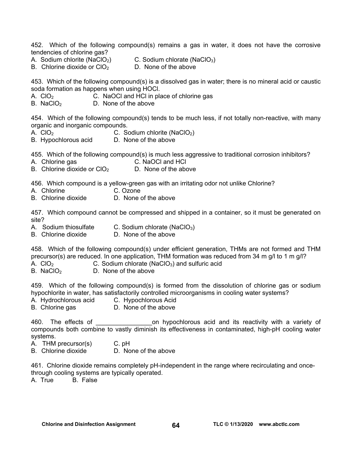452. Which of the following compound(s) remains a gas in water, it does not have the corrosive tendencies of chlorine gas?

- A. Sodium chlorite  $(NaClO<sub>2</sub>)$  C. Sodium chlorate  $(NaClO<sub>3</sub>)$
- B. Chlorine dioxide or  $ClO<sub>2</sub>$  D. None of the above
- 

453. Which of the following compound(s) is a dissolved gas in water; there is no mineral acid or caustic soda formation as happens when using HOCl.

- A.  $ClO<sub>2</sub>$  C. NaOCl and HCl in place of chlorine gas
- B. NaClO<sub>2</sub>  $\qquad \qquad$  D. None of the above

454. Which of the following compound(s) tends to be much less, if not totally non-reactive, with many organic and inorganic compounds.

- A.  $CIO<sub>2</sub>$  C. Sodium chlorite (NaClO<sub>2</sub>)
- B. Hypochlorous acid D. None of the above

455. Which of the following compound(s) is much less aggressive to traditional corrosion inhibitors?

- A. Chlorine gas C. NaOCl and HCl
- B. Chlorine dioxide or  $ClO<sub>2</sub>$  D. None of the above

456. Which compound is a yellow-green gas with an irritating odor not unlike Chlorine?

- A. Chlorine C. Ozone
- B. Chlorine dioxide D. None of the above

457. Which compound cannot be compressed and shipped in a container, so it must be generated on site?

- A. Sodium thiosulfate C. Sodium chlorate (NaClO<sub>3</sub>)
- B. Chlorine dioxide D. None of the above

458. Which of the following compound(s) under efficient generation, THMs are not formed and THM precursor(s) are reduced. In one application, THM formation was reduced from 34 m g/l to 1 m g/l?

A.  $ClO<sub>2</sub>$  C. Sodium chlorate (NaClO<sub>3</sub>) and sulfuric acid B. NaClO<sub>2</sub> D. None of the above

D. None of the above

459. Which of the following compound(s) is formed from the dissolution of chlorine gas or sodium hypochlorite in water, has satisfactorily controlled microorganisms in cooling water systems?

- A. Hydrochlorous acid C. Hypochlorous Acid
- B. Chlorine gas **D.** None of the above

460. The effects of \_\_\_\_\_\_\_\_\_\_\_\_\_\_\_\_\_\_\_\_\_\_on hypochlorous acid and its reactivity with a variety of compounds both combine to vastly diminish its effectiveness in contaminated, high-pH cooling water systems.

- A. THM precursor(s) C. pH
- B. Chlorine dioxide D. None of the above

461. Chlorine dioxide remains completely pH-independent in the range where recirculating and oncethrough cooling systems are typically operated.<br>A. True B. False

B. False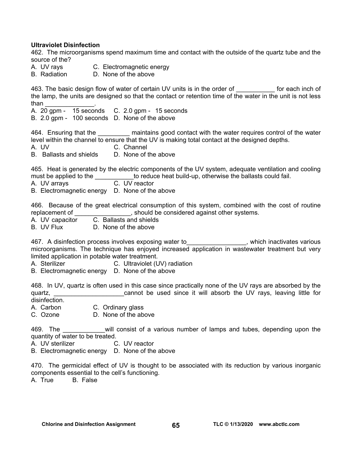#### **Ultraviolet Disinfection**

462. The microorganisms spend maximum time and contact with the outside of the quartz tube and the source of the?

- A. UV rays C. Electromagnetic energy
- B. Radiation D. None of the above

463. The basic design flow of water of certain UV units is in the order of The State of the sach inch of the lamp, the units are designed so that the contact or retention time of the water in the unit is not less than \_\_\_\_\_\_\_\_\_\_\_\_\_\_.

A. 20 gpm - 15 seconds C. 2.0 gpm - 15 seconds

B. 2.0 gpm - 100 seconds D. None of the above

464. Ensuring that the **Example 10** maintains good contact with the water requires control of the water level within the channel to ensure that the UV is making total contact at the designed depths.

A. UV C. Channel

B. Ballasts and shields D. None of the above

465. Heat is generated by the electric components of the UV system, adequate ventilation and cooling must be applied to the \_\_\_\_\_\_\_\_\_\_\_to reduce heat build-up, otherwise the ballasts could fail.

A. UV arrays C. UV reactor

B. Electromagnetic energy D. None of the above

466. Because of the great electrical consumption of this system, combined with the cost of routine replacement of \_\_\_\_\_\_\_\_\_\_\_\_\_\_\_\_, should be considered against other systems.

A. UV capacitor C. Ballasts and shields

B. UV Flux D. None of the above

467. A disinfection process involves exposing water to \_\_\_\_\_\_\_\_\_\_\_\_\_\_\_\_, which inactivates various microorganisms. The technique has enjoyed increased application in wastewater treatment but very limited application in potable water treatment.

A. Sterilizer C. Ultraviolet (UV) radiation

B. Electromagnetic energy D. None of the above

468. In UV, quartz is often used in this case since practically none of the UV rays are absorbed by the quartz, \_\_\_\_\_\_\_\_\_\_\_\_\_\_\_\_\_\_\_\_\_\_\_\_\_\_cannot be used since it will absorb the UV rays, leaving little for disinfection.

A. Carbon C. Ordinary glass

C. Ozone D. None of the above

469. The **will consist of a various number of lamps and tubes**, depending upon the quantity of water to be treated.

A. UV sterilizer C. UV reactor

B. Electromagnetic energy D. None of the above

470. The germicidal effect of UV is thought to be associated with its reduction by various inorganic components essential to the cell's functioning.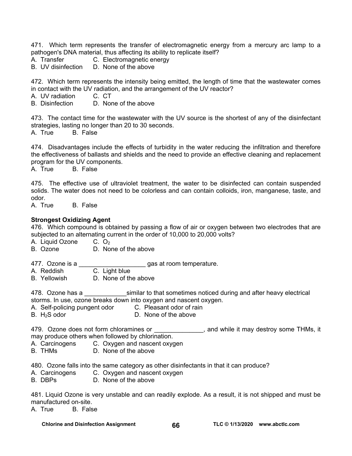471. Which term represents the transfer of electromagnetic energy from a mercury arc lamp to a pathogen's DNA material, thus affecting its ability to replicate itself?

- A. Transfer **C. Electromagnetic energy**
- B. UV disinfection D. None of the above

472. Which term represents the intensity being emitted, the length of time that the wastewater comes in contact with the UV radiation, and the arrangement of the UV reactor?

A. UV radiation C. CT

B. Disinfection D. None of the above

473. The contact time for the wastewater with the UV source is the shortest of any of the disinfectant strategies, lasting no longer than 20 to 30 seconds.

A. True B. False

474. Disadvantages include the effects of turbidity in the water reducing the infiltration and therefore the effectiveness of ballasts and shields and the need to provide an effective cleaning and replacement program for the UV components.

A. True B. False

475. The effective use of ultraviolet treatment, the water to be disinfected can contain suspended solids. The water does not need to be colorless and can contain colloids, iron, manganese, taste, and odor.

A. True B. False

#### **Strongest Oxidizing Agent**

476. Which compound is obtained by passing a flow of air or oxygen between two electrodes that are subjected to an alternating current in the order of 10,000 to 20,000 volts?

A. Liquid Ozone  $C. O<sub>2</sub>$ 

B. Ozone D. None of the above

- 477. Ozone is a \_\_\_\_\_\_\_\_\_\_\_\_\_\_\_\_\_\_\_\_\_\_gas at room temperature.
- A. Reddish C. Light blue
- B. Yellowish D. None of the above

478. Ozone has a similar to that sometimes noticed during and after heavy electrical storms. In use, ozone breaks down into oxygen and nascent oxygen.

- A. Self-policing pungent odor C. Pleasant odor of rain
- B. H<sub>2</sub>S odor **D. None of the above**

479. Ozone does not form chloramines or  $\qquad \qquad$ , and while it may destroy some THMs, it may produce others when followed by chlorination.

- A. Carcinogens C. Oxygen and nascent oxygen
- B. THMs D. None of the above

480. Ozone falls into the same category as other disinfectants in that it can produce?

- A. Carcinogens C. Oxygen and nascent oxygen<br>B. DBPs B. None of the above
- D. None of the above

481. Liquid Ozone is very unstable and can readily explode. As a result, it is not shipped and must be manufactured on-site.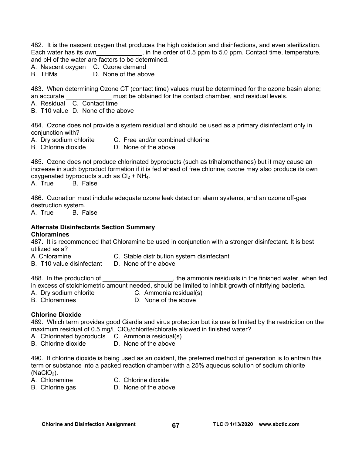482. It is the nascent oxygen that produces the high oxidation and disinfections, and even sterilization. Each water has its own  $\qquad \qquad$ , in the order of 0.5 ppm to 5.0 ppm. Contact time, temperature, and pH of the water are factors to be determined.

A. Nascent oxygen C. Ozone demand

B. THMs D. None of the above

483. When determining Ozone CT (contact time) values must be determined for the ozone basin alone; an accurate **Exercise 2.** must be obtained for the contact chamber, and residual levels.

- A. Residual C. Contact time
- B. T10 value D. None of the above

484. Ozone does not provide a system residual and should be used as a primary disinfectant only in conjunction with?

- A. Dry sodium chlorite C. Free and/or combined chlorine
- B. Chlorine dioxide D. None of the above

485. Ozone does not produce chlorinated byproducts (such as trihalomethanes) but it may cause an increase in such byproduct formation if it is fed ahead of free chlorine; ozone may also produce its own oxygenated byproducts such as  $Cl<sub>2</sub> + NH<sub>4</sub>$ .

A. True B. False

486. Ozonation must include adequate ozone leak detection alarm systems, and an ozone off-gas destruction system.

A. True B. False

### **Alternate Disinfectants Section Summary**

#### **Chloramines**

487. It is recommended that Chloramine be used in conjunction with a stronger disinfectant. It is best utilized as a?

- A. Chloramine C. Stable distribution system disinfectant
- B. T10 value disinfectant D. None of the above

488. In the production of \_\_\_\_\_\_\_\_\_\_\_\_\_\_\_\_\_\_\_\_, the ammonia residuals in the finished water, when fed in excess of stoichiometric amount needed, should be limited to inhibit growth of nitrifying bacteria.

- A. Dry sodium chlorite C. Ammonia residual(s)
- 
- B. Chloramines **D.** None of the above

#### **Chlorine Dioxide**

489. Which term provides good Giardia and virus protection but its use is limited by the restriction on the maximum residual of 0.5 mg/L CIO<sub>2</sub>/chlorite/chlorate allowed in finished water?

- A. Chlorinated byproducts C. Ammonia residual(s)
- B. Chlorine dioxide D. None of the above

490. If chlorine dioxide is being used as an oxidant, the preferred method of generation is to entrain this term or substance into a packed reaction chamber with a 25% aqueous solution of sodium chlorite  $(NaClO<sub>2</sub>)$ .

- A. Chloramine C. Chlorine dioxide
	-
- B. Chlorine gas **D.** None of the above